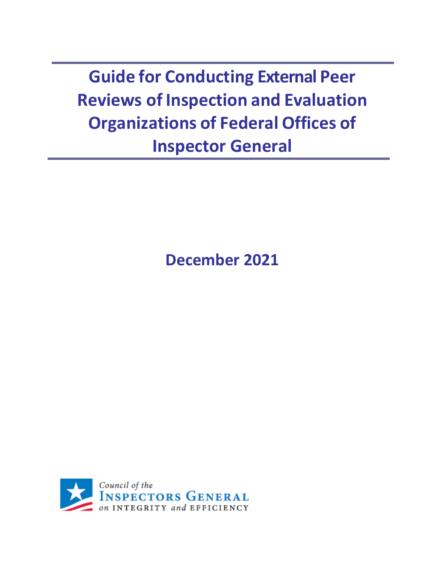**Guide for Conducting External Peer Reviews of Inspection and Evaluation Organizations of Federal Offices of Inspector General**

**December 2021** 

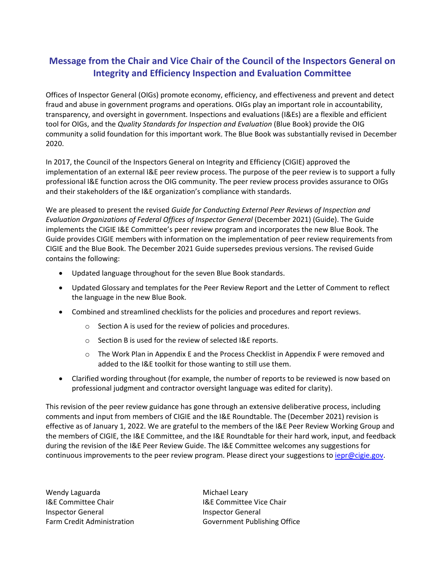## **Message from the Chair and Vice Chair of the Council of the Inspectors General on Integrity and Efficiency Inspection and Evaluation Committee**

Offices of Inspector General (OIGs) promote economy, efficiency, and effectiveness and prevent and detect fraud and abuse in government programs and operations. OIGs play an important role in accountability, transparency, and oversight in government. Inspections and evaluations (I&Es) are a flexible and efficient tool for OIGs, and the *Quality Standards for Inspection and Evaluation* (Blue Book) provide the OIG community a solid foundation for this important work. The Blue Book was substantially revised in December 2020.

In 2017, the Council of the Inspectors General on Integrity and Efficiency (CIGIE) approved the implementation of an external I&E peer review process. The purpose of the peer review is to support a fully professional I&E function across the OIG community. The peer review process provides assurance to OIGs and their stakeholders of the I&E organization's compliance with standards.

We are pleased to present the revised *Guide for Conducting External Peer Reviews of Inspection and Evaluation Organizations of Federal Offices of Inspector General* (December 2021) (Guide). The Guide implements the CIGIE I&E Committee's peer review program and incorporates the new Blue Book. The Guide provides CIGIE members with information on the implementation of peer review requirements from CIGIE and the Blue Book. The December 2021 Guide supersedes previous versions. The revised Guide contains the following:

- Updated language throughout for the seven Blue Book standards.
- Updated Glossary and templates for the Peer Review Report and the Letter of Comment to reflect the language in the new Blue Book.
- Combined and streamlined checklists for the policies and procedures and report reviews.
	- o Section A is used for the review of policies and procedures.
	- o Section B is used for the review of selected I&E reports.
	- $\circ$  The Work Plan in Appendix E and the Process Checklist in Appendix F were removed and added to the I&E toolkit for those wanting to still use them.
- Clarified wording throughout (for example, the number of reports to be reviewed is now based on professional judgment and contractor oversight language was edited for clarity).

This revision of the peer review guidance has gone through an extensive deliberative process, including comments and input from members of CIGIE and the I&E Roundtable. The (December 2021) revision is effective as of January 1, 2022. We are grateful to the members of the I&E Peer Review Working Group and the members of CIGIE, the I&E Committee, and the I&E Roundtable for their hard work, input, and feedback during the revision of the I&E Peer Review Guide. The I&E Committee welcomes any suggestions for continuous improvements to the peer review program. Please direct your suggestions to [iepr@cigie.gov.](mailto:iepr@cigie.gov)

Wendy Laguarda Michael Leary I&E Committee Chair **IBE Committee Vice Chair** I&E Committee Vice Chair Inspector General **Inspector General** 

Farm Credit Administration **Government Publishing Office**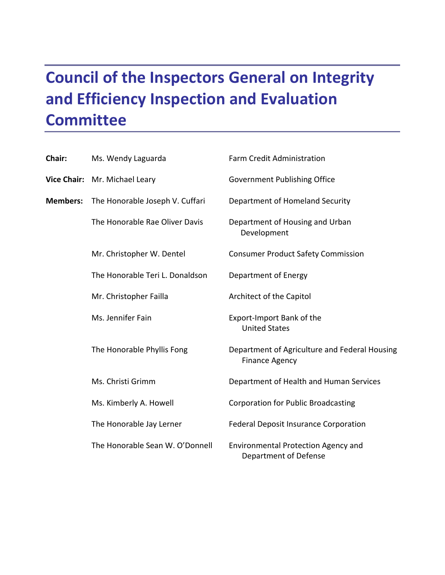# **Council of the Inspectors General on Integrity and Efficiency Inspection and Evaluation Committee**

| Chair:          | Ms. Wendy Laguarda              | Farm Credit Administration                                             |
|-----------------|---------------------------------|------------------------------------------------------------------------|
|                 | Vice Chair: Mr. Michael Leary   | <b>Government Publishing Office</b>                                    |
| <b>Members:</b> | The Honorable Joseph V. Cuffari | Department of Homeland Security                                        |
|                 | The Honorable Rae Oliver Davis  | Department of Housing and Urban<br>Development                         |
|                 | Mr. Christopher W. Dentel       | <b>Consumer Product Safety Commission</b>                              |
|                 | The Honorable Teri L. Donaldson | Department of Energy                                                   |
|                 | Mr. Christopher Failla          | Architect of the Capitol                                               |
|                 | Ms. Jennifer Fain               | Export-Import Bank of the<br><b>United States</b>                      |
|                 | The Honorable Phyllis Fong      | Department of Agriculture and Federal Housing<br><b>Finance Agency</b> |
|                 | Ms. Christi Grimm               | Department of Health and Human Services                                |
|                 | Ms. Kimberly A. Howell          | <b>Corporation for Public Broadcasting</b>                             |
|                 | The Honorable Jay Lerner        | <b>Federal Deposit Insurance Corporation</b>                           |
|                 | The Honorable Sean W. O'Donnell | <b>Environmental Protection Agency and</b><br>Department of Defense    |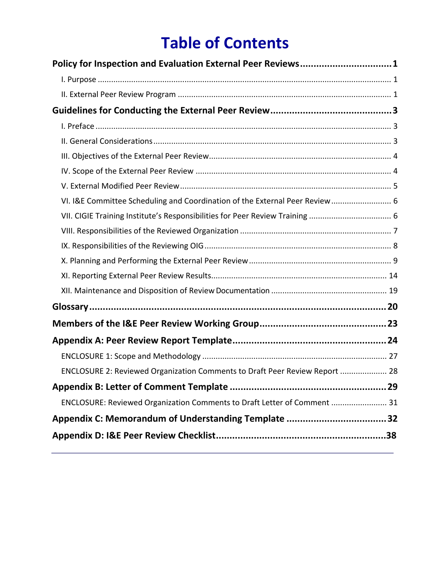# **Table of Contents**

| Policy for Inspection and Evaluation External Peer Reviews1                 |  |
|-----------------------------------------------------------------------------|--|
|                                                                             |  |
|                                                                             |  |
|                                                                             |  |
|                                                                             |  |
|                                                                             |  |
|                                                                             |  |
|                                                                             |  |
|                                                                             |  |
| VI. I&E Committee Scheduling and Coordination of the External Peer Review 6 |  |
|                                                                             |  |
|                                                                             |  |
|                                                                             |  |
|                                                                             |  |
|                                                                             |  |
|                                                                             |  |
|                                                                             |  |
|                                                                             |  |
|                                                                             |  |
|                                                                             |  |
| ENCLOSURE 2: Reviewed Organization Comments to Draft Peer Review Report  28 |  |
|                                                                             |  |
| ENCLOSURE: Reviewed Organization Comments to Draft Letter of Comment  31    |  |
| Appendix C: Memorandum of Understanding Template 32                         |  |
|                                                                             |  |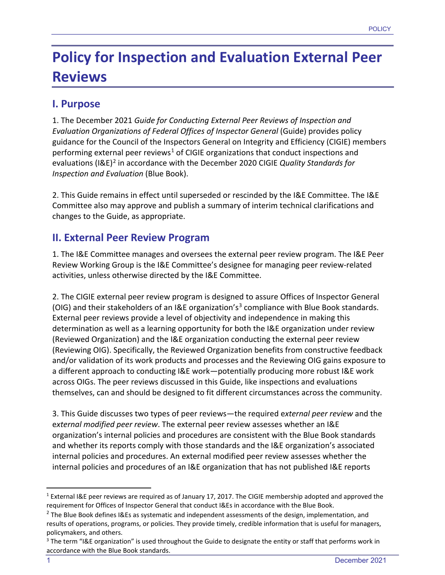# <span id="page-4-0"></span>**Policy for Inspection and Evaluation External Peer Reviews**

## <span id="page-4-1"></span>**I. Purpose**

1. The December 2021 *Guide for Conducting External Peer Reviews of Inspection and Evaluation Organizations of Federal Offices of Inspector General* (Guide) provides policy guidance for the Council of the Inspectors General on Integrity and Efficiency (CIGIE) members performing external peer reviews<sup>[1](#page-4-3)</sup> of CIGIE organizations that conduct inspections and evaluations (I&E)[2](#page-4-4) in accordance with the December 2020 CIGIE *Quality Standards for Inspection and Evaluation* (Blue Book).

2. This Guide remains in effect until superseded or rescinded by the I&E Committee. The I&E Committee also may approve and publish a summary of interim technical clarifications and changes to the Guide, as appropriate.

## <span id="page-4-2"></span>**II. External Peer Review Program**

1. The I&E Committee manages and oversees the external peer review program. The I&E Peer Review Working Group is the I&E Committee's designee for managing peer review-related activities, unless otherwise directed by the I&E Committee.

2. The CIGIE external peer review program is designed to assure Offices of Inspector General (OIG) and their stakeholders of an I&E organization's<sup>[3](#page-4-5)</sup> compliance with Blue Book standards. External peer reviews provide a level of objectivity and independence in making this determination as well as a learning opportunity for both the I&E organization under review (Reviewed Organization) and the I&E organization conducting the external peer review (Reviewing OIG). Specifically, the Reviewed Organization benefits from constructive feedback and/or validation of its work products and processes and the Reviewing OIG gains exposure to a different approach to conducting I&E work—potentially producing more robust I&E work across OIGs. The peer reviews discussed in this Guide, like inspections and evaluations themselves, can and should be designed to fit different circumstances across the community.

3. This Guide discusses two types of peer reviews—the required e*xternal peer review* and the e*xternal modified peer review*. The external peer review assesses whether an I&E organization's internal policies and procedures are consistent with the Blue Book standards and whether its reports comply with those standards and the I&E organization's associated internal policies and procedures. An external modified peer review assesses whether the internal policies and procedures of an I&E organization that has not published I&E reports

<span id="page-4-3"></span><sup>1</sup> External I&E peer reviews are required as of January 17, 2017. The CIGIE membership adopted and approved the requirement for Offices of Inspector General that conduct I&Es in accordance with the Blue Book.

<span id="page-4-4"></span><sup>&</sup>lt;sup>2</sup> The Blue Book defines I&Es as systematic and independent assessments of the design, implementation, and results of operations, programs, or policies. They provide timely, credible information that is useful for managers, policymakers, and others.

<span id="page-4-5"></span> $3$  The term "I&E organization" is used throughout the Guide to designate the entity or staff that performs work in accordance with the Blue Book standards.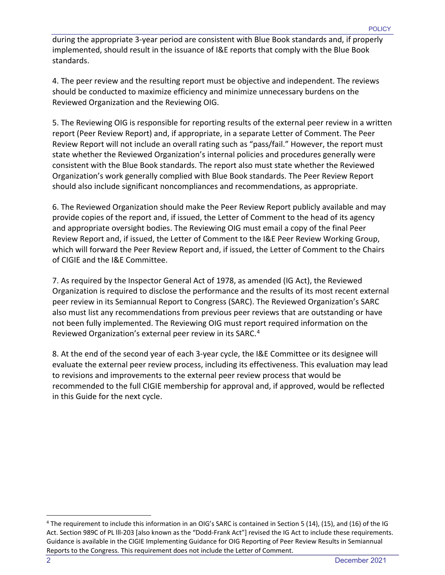during the appropriate 3-year period are consistent with Blue Book standards and, if properly implemented, should result in the issuance of I&E reports that comply with the Blue Book standards.

4. The peer review and the resulting report must be objective and independent. The reviews should be conducted to maximize efficiency and minimize unnecessary burdens on the Reviewed Organization and the Reviewing OIG.

5. The Reviewing OIG is responsible for reporting results of the external peer review in a written report (Peer Review Report) and, if appropriate, in a separate Letter of Comment. The Peer Review Report will not include an overall rating such as "pass/fail." However, the report must state whether the Reviewed Organization's internal policies and procedures generally were consistent with the Blue Book standards. The report also must state whether the Reviewed Organization's work generally complied with Blue Book standards. The Peer Review Report should also include significant noncompliances and recommendations, as appropriate.

6. The Reviewed Organization should make the Peer Review Report publicly available and may provide copies of the report and, if issued, the Letter of Comment to the head of its agency and appropriate oversight bodies. The Reviewing OIG must email a copy of the final Peer Review Report and, if issued, the Letter of Comment to the I&E Peer Review Working Group, which will forward the Peer Review Report and, if issued, the Letter of Comment to the Chairs of CIGIE and the I&E Committee.

7. As required by the Inspector General Act of 1978, as amended (IG Act), the Reviewed Organization is required to disclose the performance and the results of its most recent external peer review in its Semiannual Report to Congress (SARC). The Reviewed Organization's SARC also must list any recommendations from previous peer reviews that are outstanding or have not been fully implemented. The Reviewing OIG must report required information on the Reviewed Organization's external peer review in its SARC.[4](#page-5-0)

8. At the end of the second year of each 3-year cycle, the I&E Committee or its designee will evaluate the external peer review process, including its effectiveness. This evaluation may lead to revisions and improvements to the external peer review process that would be recommended to the full CIGIE membership for approval and, if approved, would be reflected in this Guide for the next cycle.

<span id="page-5-0"></span><sup>4</sup> The requirement to include this information in an OIG's SARC is contained in Section 5 (14), (15), and (16) of the IG Act. Section 989C of PL lll-203 [also known as the "Dodd-Frank Act"] revised the IG Act to include these requirements. Guidance is available in the CIGIE Implementing Guidance for OIG Reporting of Peer Review Results in Semiannual Reports to the Congress. This requirement does not include the Letter of Comment.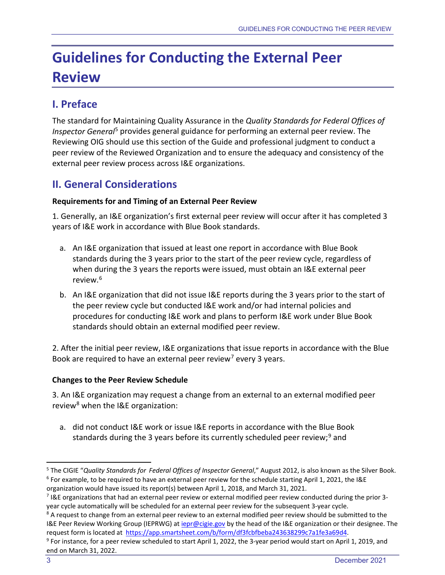# <span id="page-6-0"></span>**Guidelines for Conducting the External Peer Review**

# <span id="page-6-1"></span>**I. Preface**

The standard for Maintaining Quality Assurance in the *Quality Standards for Federal Offices of Inspector General*[5](#page-6-3) provides general guidance for performing an external peer review. The Reviewing OIG should use this section of the Guide and professional judgment to conduct a peer review of the Reviewed Organization and to ensure the adequacy and consistency of the external peer review process across I&E organizations.

# <span id="page-6-2"></span>**II. General Considerations**

#### **Requirements for and Timing of an External Peer Review**

1. Generally, an I&E organization's first external peer review will occur after it has completed 3 years of I&E work in accordance with Blue Book standards.

- a. An I&E organization that issued at least one report in accordance with Blue Book standards during the 3 years prior to the start of the peer review cycle, regardless of when during the 3 years the reports were issued, must obtain an I&E external peer review.[6](#page-6-4)
- b. An I&E organization that did not issue I&E reports during the 3 years prior to the start of the peer review cycle but conducted I&E work and/or had internal policies and procedures for conducting I&E work and plans to perform I&E work under Blue Book standards should obtain an external modified peer review.

2. After the initial peer review, I&E organizations that issue reports in accordance with the Blue Book are required to have an external peer review<sup>[7](#page-6-5)</sup> every 3 years.

#### **Changes to the Peer Review Schedule**

3. An I&E organization may request a change from an external to an external modified peer review<sup>[8](#page-6-6)</sup> when the I&E organization:

a. did not conduct I&E work or issue I&E reports in accordance with the Blue Book standards during the 3 years before its currently scheduled peer review;<sup>[9](#page-6-7)</sup> and

<span id="page-6-4"></span><span id="page-6-3"></span><sup>5</sup> The CIGIE "*Quality Standards for Federal Offices of Inspector General*," August 2012, is also known as the Silver Book.  $6$  For example, to be required to have an external peer review for the schedule starting April 1, 2021, the I&E organization would have issued its report(s) between April 1, 2018, and March 31, 2021.

<span id="page-6-5"></span><sup>&</sup>lt;sup>7</sup> I&E organizations that had an external peer review or external modified peer review conducted during the prior 3year cycle automatically will be scheduled for an external peer review for the subsequent 3-year cycle.<br><sup>8</sup> A request to change from an external peer review to an external modified peer review should be submitted to the

<span id="page-6-6"></span>I&E Peer Review Working Group (IEPRWG) a[t iepr@cigie.gov](mailto:iepr@cigie.gov) by the head of the I&E organization or their designee. The request form is located at [https://app.smartsheet.com/b/form/df3fcbfbeba243638299c7a1fe3a69d4.](https://gcc02.safelinks.protection.outlook.com/?url=https%3A%2F%2Fapp.smartsheet.com%2Fb%2Fform%2Fdf3fcbfbeba243638299c7a1fe3a69d4&data=04%7C01%7C%7Cc9dc9838c26d4aaf94b708d97e9bb404%7C595e2b2f8279465184a36e3609e6dd37%7C0%7C0%7C637680029533335939%7CUnknown%7CTWFpbGZsb3d8eyJWIjoiMC4wLjAwMDAiLCJQIjoiV2luMzIiLCJBTiI6Ik1haWwiLCJXVCI6Mn0%3D%7C1000&sdata=CLEutRlANmkK1ngg7JfmfYI5bN%2FIwNAlo3du2yhuYFE%3D&reserved=0)

<span id="page-6-7"></span><sup>9</sup> For instance, for a peer review scheduled to start April 1, 2022, the 3-year period would start on April 1, 2019, and end on March 31, 2022.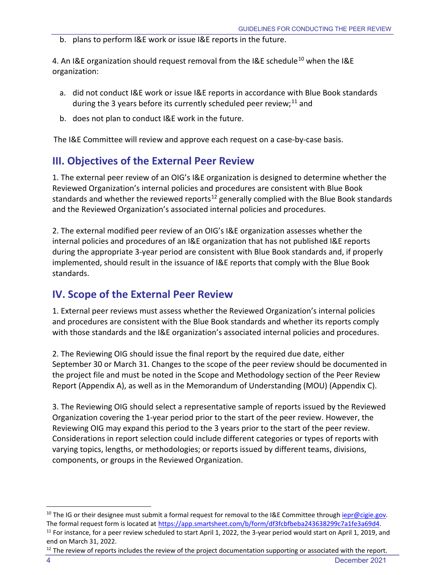b. plans to perform I&E work or issue I&E reports in the future.

4. An I&E organization should request removal from the I&E schedule<sup>[10](#page-7-2)</sup> when the I&E organization:

- a. did not conduct I&E work or issue I&E reports in accordance with Blue Book standards during the 3 years before its currently scheduled peer review;<sup>[11](#page-7-3)</sup> and
- b. does not plan to conduct I&E work in the future.

<span id="page-7-0"></span>The I&E Committee will review and approve each request on a case-by-case basis.

# **III. Objectives of the External Peer Review**

1. The external peer review of an OIG's I&E organization is designed to determine whether the Reviewed Organization's internal policies and procedures are consistent with Blue Book standards and whether the reviewed reports<sup>[12](#page-7-4)</sup> generally complied with the Blue Book standards and the Reviewed Organization's associated internal policies and procedures.

2. The external modified peer review of an OIG's I&E organization assesses whether the internal policies and procedures of an I&E organization that has not published I&E reports during the appropriate 3-year period are consistent with Blue Book standards and, if properly implemented, should result in the issuance of I&E reports that comply with the Blue Book standards.

# <span id="page-7-1"></span>**IV. Scope of the External Peer Review**

1. External peer reviews must assess whether the Reviewed Organization's internal policies and procedures are consistent with the Blue Book standards and whether its reports comply with those standards and the I&E organization's associated internal policies and procedures.

2. The Reviewing OIG should issue the final report by the required due date, either September 30 or March 31. Changes to the scope of the peer review should be documented in the project file and must be noted in the Scope and Methodology section of the Peer Review Report (Appendix A), as well as in the Memorandum of Understanding (MOU) (Appendix C).

3. The Reviewing OIG should select a representative sample of reports issued by the Reviewed Organization covering the 1-year period prior to the start of the peer review. However, the Reviewing OIG may expand this period to the 3 years prior to the start of the peer review. Considerations in report selection could include different categories or types of reports with varying topics, lengths, or methodologies; or reports issued by different teams, divisions, components, or groups in the Reviewed Organization.

<span id="page-7-2"></span><sup>&</sup>lt;sup>10</sup> The IG or their designee must submit a formal request for removal to the I&E Committee through *iepr@cigie.gov*. The formal request form is located at [https://app.smartsheet.com/b/form/df3fcbfbeba243638299c7a1fe3a69d4.](https://gcc02.safelinks.protection.outlook.com/?url=https%3A%2F%2Fapp.smartsheet.com%2Fb%2Fform%2Fdf3fcbfbeba243638299c7a1fe3a69d4&data=04%7C01%7C%7Cc9dc9838c26d4aaf94b708d97e9bb404%7C595e2b2f8279465184a36e3609e6dd37%7C0%7C0%7C637680029533335939%7CUnknown%7CTWFpbGZsb3d8eyJWIjoiMC4wLjAwMDAiLCJQIjoiV2luMzIiLCJBTiI6Ik1haWwiLCJXVCI6Mn0%3D%7C1000&sdata=CLEutRlANmkK1ngg7JfmfYI5bN%2FIwNAlo3du2yhuYFE%3D&reserved=0)

<span id="page-7-3"></span> $11$  For instance, for a peer review scheduled to start April 1, 2022, the 3-year period would start on April 1, 2019, and end on March 31, 2022.

<span id="page-7-4"></span> $12$  The review of reports includes the review of the project documentation supporting or associated with the report.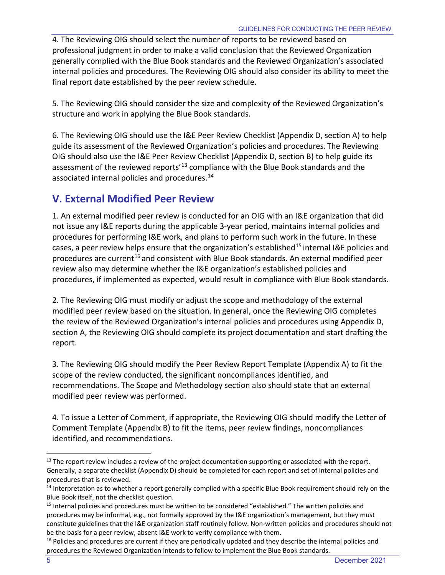4. The Reviewing OIG should select the number of reports to be reviewed based on professional judgment in order to make a valid conclusion that the Reviewed Organization generally complied with the Blue Book standards and the Reviewed Organization's associated internal policies and procedures. The Reviewing OIG should also consider its ability to meet the final report date established by the peer review schedule.

5. The Reviewing OIG should consider the size and complexity of the Reviewed Organization's structure and work in applying the Blue Book standards.

6. The Reviewing OIG should use the I&E Peer Review Checklist (Appendix D, section A) to help guide its assessment of the Reviewed Organization's policies and procedures. The Reviewing OIG should also use the I&E Peer Review Checklist (Appendix D, section B) to help guide its assessment of the reviewed reports<sup>'[13](#page-8-1)</sup> compliance with the Blue Book standards and the associated internal policies and procedures.<sup>[14](#page-8-2)</sup>

# <span id="page-8-0"></span>**V. External Modified Peer Review**

1. An external modified peer review is conducted for an OIG with an I&E organization that did not issue any I&E reports during the applicable 3-year period, maintains internal policies and procedures for performing I&E work, and plans to perform such work in the future. In these cases, a peer review helps ensure that the organization's established<sup>[15](#page-8-3)</sup> internal I&E policies and procedures are current<sup>[16](#page-8-4)</sup> and consistent with Blue Book standards. An external modified peer review also may determine whether the I&E organization's established policies and procedures, if implemented as expected, would result in compliance with Blue Book standards.

2. The Reviewing OIG must modify or adjust the scope and methodology of the external modified peer review based on the situation. In general, once the Reviewing OIG completes the review of the Reviewed Organization's internal policies and procedures using Appendix D, section A, the Reviewing OIG should complete its project documentation and start drafting the report.

3. The Reviewing OIG should modify the Peer Review Report Template (Appendix A) to fit the scope of the review conducted, the significant noncompliances identified, and recommendations. The Scope and Methodology section also should state that an external modified peer review was performed.

4. To issue a Letter of Comment, if appropriate, the Reviewing OIG should modify the Letter of Comment Template (Appendix B) to fit the items, peer review findings, noncompliances identified, and recommendations.

<span id="page-8-1"></span> $13$  The report review includes a review of the project documentation supporting or associated with the report. Generally, a separate checklist (Appendix D) should be completed for each report and set of internal policies and procedures that is reviewed.

<span id="page-8-2"></span> $14$  Interpretation as to whether a report generally complied with a specific Blue Book requirement should rely on the Blue Book itself, not the checklist question.

<span id="page-8-3"></span><sup>&</sup>lt;sup>15</sup> Internal policies and procedures must be written to be considered "established." The written policies and procedures may be informal, e.g., not formally approved by the I&E organization's management, but they must constitute guidelines that the I&E organization staff routinely follow. Non-written policies and procedures should not be the basis for a peer review, absent I&E work to verify compliance with them.

<span id="page-8-4"></span><sup>&</sup>lt;sup>16</sup> Policies and procedures are current if they are periodically updated and they describe the internal policies and procedures the Reviewed Organization intends to follow to implement the Blue Book standards.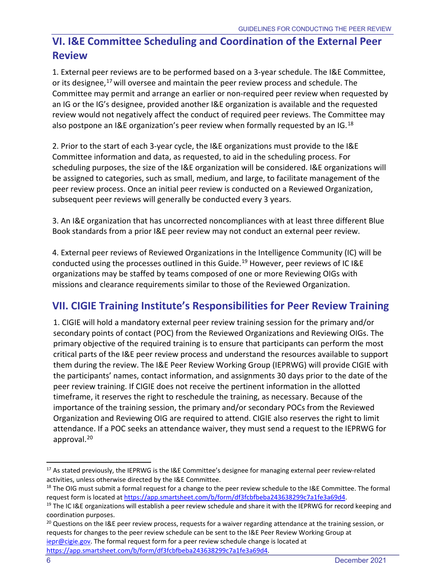# <span id="page-9-0"></span>**VI. I&E Committee Scheduling and Coordination of the External Peer Review**

1. External peer reviews are to be performed based on a 3-year schedule. The I&E Committee, or its designee,<sup>[17](#page-9-2)</sup> will oversee and maintain the peer review process and schedule. The Committee may permit and arrange an earlier or non-required peer review when requested by an IG or the IG's designee, provided another I&E organization is available and the requested review would not negatively affect the conduct of required peer reviews. The Committee may also postpone an I&E organization's peer review when formally requested by an IG.<sup>[18](#page-9-3)</sup>

2. Prior to the start of each 3-year cycle, the I&E organizations must provide to the I&E Committee information and data, as requested, to aid in the scheduling process. For scheduling purposes, the size of the I&E organization will be considered. I&E organizations will be assigned to categories, such as small, medium, and large, to facilitate management of the peer review process. Once an initial peer review is conducted on a Reviewed Organization, subsequent peer reviews will generally be conducted every 3 years.

3. An I&E organization that has uncorrected noncompliances with at least three different Blue Book standards from a prior I&E peer review may not conduct an external peer review.

4. External peer reviews of Reviewed Organizations in the Intelligence Community (IC) will be conducted using the processes outlined in this Guide.<sup>[19](#page-9-4)</sup> However, peer reviews of IC I&E organizations may be staffed by teams composed of one or more Reviewing OIGs with missions and clearance requirements similar to those of the Reviewed Organization.

# <span id="page-9-1"></span>**VII. CIGIE Training Institute's Responsibilities for Peer Review Training**

1. CIGIE will hold a mandatory external peer review training session for the primary and/or secondary points of contact (POC) from the Reviewed Organizations and Reviewing OIGs. The primary objective of the required training is to ensure that participants can perform the most critical parts of the I&E peer review process and understand the resources available to support them during the review. The I&E Peer Review Working Group (IEPRWG) will provide CIGIE with the participants' names, contact information, and assignments 30 days prior to the date of the peer review training. If CIGIE does not receive the pertinent information in the allotted timeframe, it reserves the right to reschedule the training, as necessary. Because of the importance of the training session, the primary and/or secondary POCs from the Reviewed Organization and Reviewing OIG are required to attend. CIGIE also reserves the right to limit attendance. If a POC seeks an attendance waiver, they must send a request to the IEPRWG for approval.<sup>[20](#page-9-5)</sup>

<span id="page-9-5"></span> $20$  Questions on the I&E peer review process, requests for a waiver regarding attendance at the training session, or requests for changes to the peer review schedule can be sent to the I&E Peer Review Working Group at [iepr@cigie.gov.](mailto:iepr@cigie.gov) The formal request form for a peer review schedule change is located at [https://app.smartsheet.com/b/form/df3fcbfbeba243638299c7a1fe3a69d4.](https://gcc02.safelinks.protection.outlook.com/?url=https%3A%2F%2Fapp.smartsheet.com%2Fb%2Fform%2Fdf3fcbfbeba243638299c7a1fe3a69d4&data=04%7C01%7C%7Cc9dc9838c26d4aaf94b708d97e9bb404%7C595e2b2f8279465184a36e3609e6dd37%7C0%7C0%7C637680029533335939%7CUnknown%7CTWFpbGZsb3d8eyJWIjoiMC4wLjAwMDAiLCJQIjoiV2luMzIiLCJBTiI6Ik1haWwiLCJXVCI6Mn0%3D%7C1000&sdata=CLEutRlANmkK1ngg7JfmfYI5bN%2FIwNAlo3du2yhuYFE%3D&reserved=0)

6 December 2021

<span id="page-9-2"></span><sup>&</sup>lt;sup>17</sup> As stated previously, the IEPRWG is the I&E Committee's designee for managing external peer review-related activities, unless otherwise directed by the I&E Committee.

<span id="page-9-3"></span> $18$  The OIG must submit a formal request for a change to the peer review schedule to the I&E Committee. The formal request form is located at [https://app.smartsheet.com/b/form/df3fcbfbeba243638299c7a1fe3a69d4.](https://gcc02.safelinks.protection.outlook.com/?url=https%3A%2F%2Fapp.smartsheet.com%2Fb%2Fform%2Fdf3fcbfbeba243638299c7a1fe3a69d4&data=04%7C01%7C%7Cc9dc9838c26d4aaf94b708d97e9bb404%7C595e2b2f8279465184a36e3609e6dd37%7C0%7C0%7C637680029533335939%7CUnknown%7CTWFpbGZsb3d8eyJWIjoiMC4wLjAwMDAiLCJQIjoiV2luMzIiLCJBTiI6Ik1haWwiLCJXVCI6Mn0%3D%7C1000&sdata=CLEutRlANmkK1ngg7JfmfYI5bN%2FIwNAlo3du2yhuYFE%3D&reserved=0)<br><sup>19</sup> The IC I&E organizations will establish a peer review schedule and share it with the IEPRWG for record keeping and

<span id="page-9-4"></span>coordination purposes.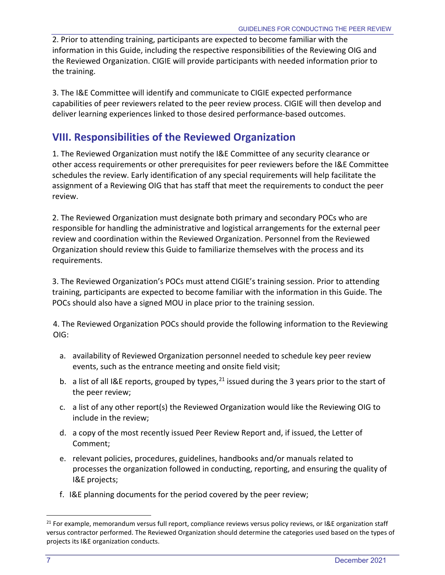2. Prior to attending training, participants are expected to become familiar with the information in this Guide, including the respective responsibilities of the Reviewing OIG and the Reviewed Organization. CIGIE will provide participants with needed information prior to the training.

3. The I&E Committee will identify and communicate to CIGIE expected performance capabilities of peer reviewers related to the peer review process. CIGIE will then develop and deliver learning experiences linked to those desired performance-based outcomes.

## <span id="page-10-0"></span>**VIII. Responsibilities of the Reviewed Organization**

1. The Reviewed Organization must notify the I&E Committee of any security clearance or other access requirements or other prerequisites for peer reviewers before the I&E Committee schedules the review. Early identification of any special requirements will help facilitate the assignment of a Reviewing OIG that has staff that meet the requirements to conduct the peer review.

2. The Reviewed Organization must designate both primary and secondary POCs who are responsible for handling the administrative and logistical arrangements for the external peer review and coordination within the Reviewed Organization. Personnel from the Reviewed Organization should review this Guide to familiarize themselves with the process and its requirements.

3. The Reviewed Organization's POCs must attend CIGIE's training session. Prior to attending training, participants are expected to become familiar with the information in this Guide. The POCs should also have a signed MOU in place prior to the training session.

4. The Reviewed Organization POCs should provide the following information to the Reviewing OIG:

- a. availability of Reviewed Organization personnel needed to schedule key peer review events, such as the entrance meeting and onsite field visit;
- b. a list of all I&E reports, grouped by types, <sup>[21](#page-10-1)</sup> issued during the 3 years prior to the start of the peer review;
- c. a list of any other report(s) the Reviewed Organization would like the Reviewing OIG to include in the review;
- d. a copy of the most recently issued Peer Review Report and, if issued, the Letter of Comment;
- e. relevant policies, procedures, guidelines, handbooks and/or manuals related to processes the organization followed in conducting, reporting, and ensuring the quality of I&E projects;
- f. I&E planning documents for the period covered by the peer review;

<span id="page-10-1"></span><sup>&</sup>lt;sup>21</sup> For example, memorandum versus full report, compliance reviews versus policy reviews, or I&E organization staff versus contractor performed. The Reviewed Organization should determine the categories used based on the types of projects its I&E organization conducts.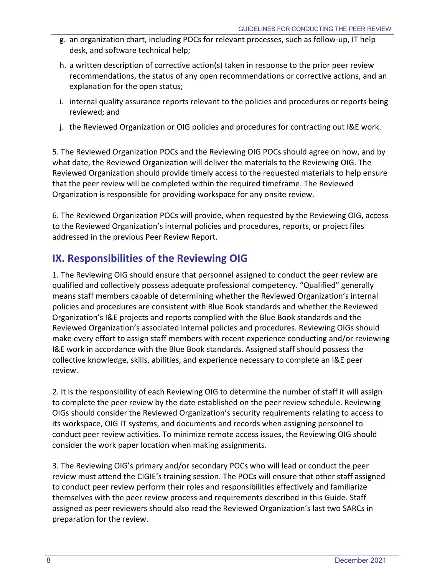- g. an organization chart, including POCs for relevant processes, such as follow-up, IT help desk, and software technical help;
- h. a written description of corrective action(s) taken in response to the prior peer review recommendations, the status of any open recommendations or corrective actions, and an explanation for the open status;
- i. internal quality assurance reports relevant to the policies and procedures or reports being reviewed; and
- j. the Reviewed Organization or OIG policies and procedures for contracting out I&E work.

5. The Reviewed Organization POCs and the Reviewing OIG POCs should agree on how, and by what date, the Reviewed Organization will deliver the materials to the Reviewing OIG. The Reviewed Organization should provide timely access to the requested materials to help ensure that the peer review will be completed within the required timeframe. The Reviewed Organization is responsible for providing workspace for any onsite review.

6. The Reviewed Organization POCs will provide, when requested by the Reviewing OIG, access to the Reviewed Organization's internal policies and procedures, reports, or project files addressed in the previous Peer Review Report.

# <span id="page-11-0"></span>**IX. Responsibilities of the Reviewing OIG**

1. The Reviewing OIG should ensure that personnel assigned to conduct the peer review are qualified and collectively possess adequate professional competency. "Qualified" generally means staff members capable of determining whether the Reviewed Organization's internal policies and procedures are consistent with Blue Book standards and whether the Reviewed Organization's I&E projects and reports complied with the Blue Book standards and the Reviewed Organization's associated internal policies and procedures. Reviewing OIGs should make every effort to assign staff members with recent experience conducting and/or reviewing I&E work in accordance with the Blue Book standards. Assigned staff should possess the collective knowledge, skills, abilities, and experience necessary to complete an I&E peer review.

2. It is the responsibility of each Reviewing OIG to determine the number of staff it will assign to complete the peer review by the date established on the peer review schedule. Reviewing OIGs should consider the Reviewed Organization's security requirements relating to access to its workspace, OIG IT systems, and documents and records when assigning personnel to conduct peer review activities. To minimize remote access issues, the Reviewing OIG should consider the work paper location when making assignments.

3. The Reviewing OIG's primary and/or secondary POCs who will lead or conduct the peer review must attend the CIGIE's training session. The POCs will ensure that other staff assigned to conduct peer review perform their roles and responsibilities effectively and familiarize themselves with the peer review process and requirements described in this Guide. Staff assigned as peer reviewers should also read the Reviewed Organization's last two SARCs in preparation for the review.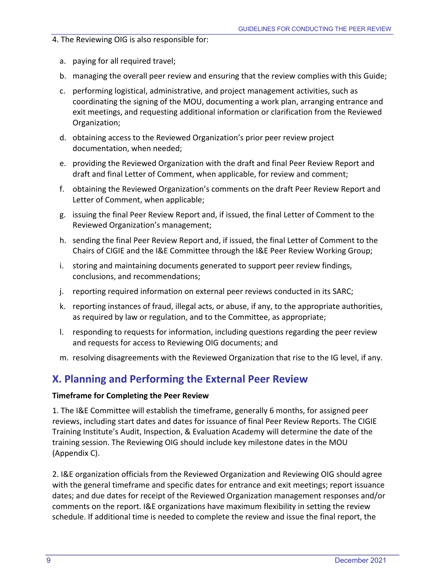4. The Reviewing OIG is also responsible for:

- a. paying for all required travel;
- b. managing the overall peer review and ensuring that the review complies with this Guide;
- c. performing logistical, administrative, and project management activities, such as coordinating the signing of the MOU, documenting a work plan, arranging entrance and exit meetings, and requesting additional information or clarification from the Reviewed Organization;
- d. obtaining access to the Reviewed Organization's prior peer review project documentation, when needed;
- e. providing the Reviewed Organization with the draft and final Peer Review Report and draft and final Letter of Comment, when applicable, for review and comment;
- f. obtaining the Reviewed Organization's comments on the draft Peer Review Report and Letter of Comment, when applicable;
- g. issuing the final Peer Review Report and, if issued, the final Letter of Comment to the Reviewed Organization's management;
- h. sending the final Peer Review Report and, if issued, the final Letter of Comment to the Chairs of CIGIE and the I&E Committee through the I&E Peer Review Working Group;
- i. storing and maintaining documents generated to support peer review findings, conclusions, and recommendations;
- j. reporting required information on external peer reviews conducted in its SARC;
- k. reporting instances of fraud, illegal acts, or abuse, if any, to the appropriate authorities, as required by law or regulation, and to the Committee, as appropriate;
- l. responding to requests for information, including questions regarding the peer review and requests for access to Reviewing OIG documents; and
- m. resolving disagreements with the Reviewed Organization that rise to the IG level, if any.

# <span id="page-12-0"></span>**X. Planning and Performing the External Peer Review**

#### **Timeframe for Completing the Peer Review**

1. The I&E Committee will establish the timeframe, generally 6 months, for assigned peer reviews, including start dates and dates for issuance of final Peer Review Reports. The CIGIE Training Institute's Audit, Inspection, & Evaluation Academy will determine the date of the training session. The Reviewing OIG should include key milestone dates in the MOU (Appendix C).

2. I&E organization officials from the Reviewed Organization and Reviewing OIG should agree with the general timeframe and specific dates for entrance and exit meetings; report issuance dates; and due dates for receipt of the Reviewed Organization management responses and/or comments on the report. I&E organizations have maximum flexibility in setting the review schedule. If additional time is needed to complete the review and issue the final report, the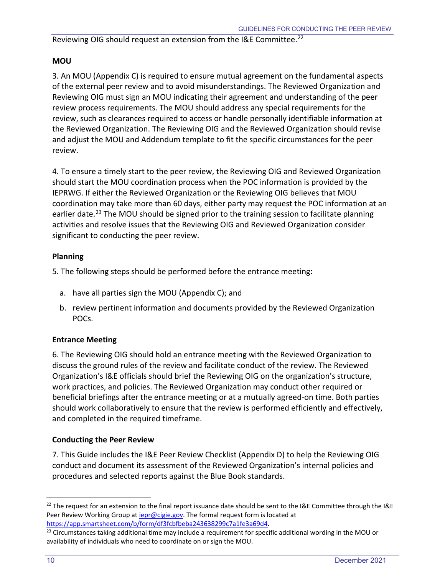#### Reviewing OIG should request an extension from the I&E Committee.<sup>[22](#page-13-0)</sup>

### **MOU**

3. An MOU (Appendix C) is required to ensure mutual agreement on the fundamental aspects of the external peer review and to avoid misunderstandings. The Reviewed Organization and Reviewing OIG must sign an MOU indicating their agreement and understanding of the peer review process requirements. The MOU should address any special requirements for the review, such as clearances required to access or handle personally identifiable information at the Reviewed Organization. The Reviewing OIG and the Reviewed Organization should revise and adjust the MOU and Addendum template to fit the specific circumstances for the peer review.

4. To ensure a timely start to the peer review, the Reviewing OIG and Reviewed Organization should start the MOU coordination process when the POC information is provided by the IEPRWG. If either the Reviewed Organization or the Reviewing OIG believes that MOU coordination may take more than 60 days, either party may request the POC information at an earlier date.<sup>[23](#page-13-1)</sup> The MOU should be signed prior to the training session to facilitate planning activities and resolve issues that the Reviewing OIG and Reviewed Organization consider significant to conducting the peer review.

### **Planning**

5. The following steps should be performed before the entrance meeting:

- a. have all parties sign the MOU (Appendix C); and
- b. review pertinent information and documents provided by the Reviewed Organization POCs.

## **Entrance Meeting**

6. The Reviewing OIG should hold an entrance meeting with the Reviewed Organization to discuss the ground rules of the review and facilitate conduct of the review. The Reviewed Organization's I&E officials should brief the Reviewing OIG on the organization's structure, work practices, and policies. The Reviewed Organization may conduct other required or beneficial briefings after the entrance meeting or at a mutually agreed-on time. Both parties should work collaboratively to ensure that the review is performed efficiently and effectively, and completed in the required timeframe.

#### **Conducting the Peer Review**

7. This Guide includes the I&E Peer Review Checklist (Appendix D) to help the Reviewing OIG conduct and document its assessment of the Reviewed Organization's internal policies and procedures and selected reports against the Blue Book standards.

<span id="page-13-0"></span><sup>&</sup>lt;sup>22</sup> The request for an extension to the final report issuance date should be sent to the I&E Committee through the I&E Peer Review Working Group a[t iepr@cigie.gov.](mailto:iepr@cigie.gov) The formal request form is located at

<span id="page-13-1"></span>https://app.smartsheet.com/b/form/df3fcbfbeba243638299c7a1fe3a69d4.<br><sup>23</sup> Circumstances taking additional time may include a requirement for specific additional wording in the MOU or availability of individuals who need to coordinate on or sign the MOU.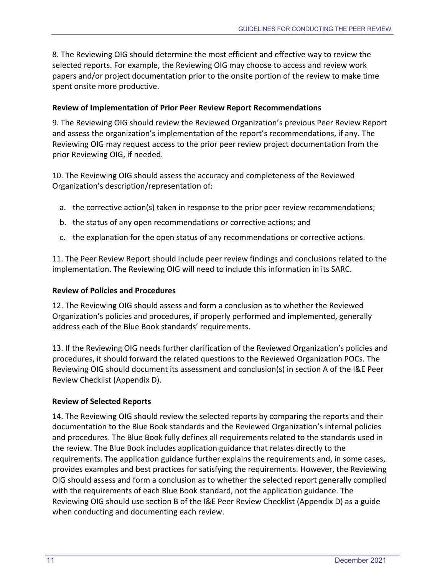8. The Reviewing OIG should determine the most efficient and effective way to review the selected reports. For example, the Reviewing OIG may choose to access and review work papers and/or project documentation prior to the onsite portion of the review to make time spent onsite more productive.

#### **Review of Implementation of Prior Peer Review Report Recommendations**

9. The Reviewing OIG should review the Reviewed Organization's previous Peer Review Report and assess the organization's implementation of the report's recommendations, if any. The Reviewing OIG may request access to the prior peer review project documentation from the prior Reviewing OIG, if needed.

10. The Reviewing OIG should assess the accuracy and completeness of the Reviewed Organization's description/representation of:

- a. the corrective action(s) taken in response to the prior peer review recommendations;
- b. the status of any open recommendations or corrective actions; and
- c. the explanation for the open status of any recommendations or corrective actions.

11. The Peer Review Report should include peer review findings and conclusions related to the implementation. The Reviewing OIG will need to include this information in its SARC.

#### **Review of Policies and Procedures**

12. The Reviewing OIG should assess and form a conclusion as to whether the Reviewed Organization's policies and procedures, if properly performed and implemented, generally address each of the Blue Book standards' requirements.

13. If the Reviewing OIG needs further clarification of the Reviewed Organization's policies and procedures, it should forward the related questions to the Reviewed Organization POCs. The Reviewing OIG should document its assessment and conclusion(s) in section A of the I&E Peer Review Checklist (Appendix D).

#### **Review of Selected Reports**

14. The Reviewing OIG should review the selected reports by comparing the reports and their documentation to the Blue Book standards and the Reviewed Organization's internal policies and procedures. The Blue Book fully defines all requirements related to the standards used in the review. The Blue Book includes application guidance that relates directly to the requirements. The application guidance further explains the requirements and, in some cases, provides examples and best practices for satisfying the requirements. However, the Reviewing OIG should assess and form a conclusion as to whether the selected report generally complied with the requirements of each Blue Book standard, not the application guidance. The Reviewing OIG should use section B of the I&E Peer Review Checklist (Appendix D) as a guide when conducting and documenting each review.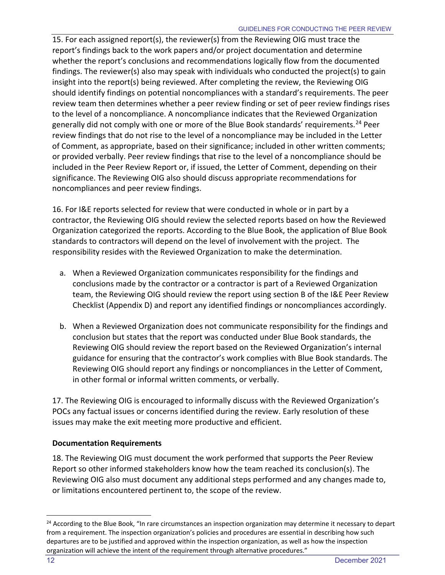15. For each assigned report(s), the reviewer(s) from the Reviewing OIG must trace the report's findings back to the work papers and/or project documentation and determine whether the report's conclusions and recommendations logically flow from the documented findings. The reviewer(s) also may speak with individuals who conducted the project(s) to gain insight into the report(s) being reviewed. After completing the review, the Reviewing OIG should identify findings on potential noncompliances with a standard's requirements. The peer review team then determines whether a peer review finding or set of peer review findings rises to the level of a noncompliance. A noncompliance indicates that the Reviewed Organization generally did not comply with one or more of the Blue Book standards' requirements.<sup>[24](#page-15-0)</sup> Peer review findings that do not rise to the level of a noncompliance may be included in the Letter of Comment, as appropriate, based on their significance; included in other written comments; or provided verbally. Peer review findings that rise to the level of a noncompliance should be included in the Peer Review Report or, if issued, the Letter of Comment, depending on their significance. The Reviewing OIG also should discuss appropriate recommendations for noncompliances and peer review findings.

16. For I&E reports selected for review that were conducted in whole or in part by a contractor, the Reviewing OIG should review the selected reports based on how the Reviewed Organization categorized the reports. According to the Blue Book, the application of Blue Book standards to contractors will depend on the level of involvement with the project. The responsibility resides with the Reviewed Organization to make the determination.

- a. When a Reviewed Organization communicates responsibility for the findings and conclusions made by the contractor or a contractor is part of a Reviewed Organization team, the Reviewing OIG should review the report using section B of the I&E Peer Review Checklist (Appendix D) and report any identified findings or noncompliances accordingly.
- b. When a Reviewed Organization does not communicate responsibility for the findings and conclusion but states that the report was conducted under Blue Book standards, the Reviewing OIG should review the report based on the Reviewed Organization's internal guidance for ensuring that the contractor's work complies with Blue Book standards. The Reviewing OIG should report any findings or noncompliances in the Letter of Comment, in other formal or informal written comments, or verbally.

17. The Reviewing OIG is encouraged to informally discuss with the Reviewed Organization's POCs any factual issues or concerns identified during the review. Early resolution of these issues may make the exit meeting more productive and efficient.

## **Documentation Requirements**

18. The Reviewing OIG must document the work performed that supports the Peer Review Report so other informed stakeholders know how the team reached its conclusion(s). The Reviewing OIG also must document any additional steps performed and any changes made to, or limitations encountered pertinent to, the scope of the review.

<span id="page-15-0"></span><sup>&</sup>lt;sup>24</sup> According to the Blue Book, "In rare circumstances an inspection organization may determine it necessary to depart from a requirement. The inspection organization's policies and procedures are essential in describing how such departures are to be justified and approved within the inspection organization, as well as how the inspection organization will achieve the intent of the requirement through alternative procedures."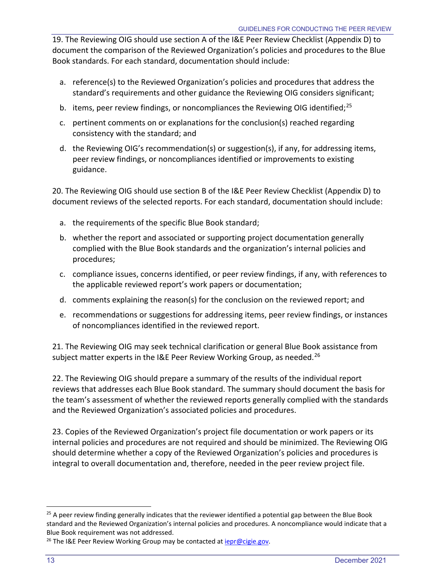19. The Reviewing OIG should use section A of the I&E Peer Review Checklist (Appendix D) to document the comparison of the Reviewed Organization's policies and procedures to the Blue Book standards. For each standard, documentation should include:

- a. reference(s) to the Reviewed Organization's policies and procedures that address the standard's requirements and other guidance the Reviewing OIG considers significant;
- b. items, peer review findings, or noncompliances the Reviewing OIG identified;<sup>[25](#page-16-0)</sup>
- c. pertinent comments on or explanations for the conclusion(s) reached regarding consistency with the standard; and
- d. the Reviewing OIG's recommendation(s) or suggestion(s), if any, for addressing items, peer review findings, or noncompliances identified or improvements to existing guidance.

20. The Reviewing OIG should use section B of the I&E Peer Review Checklist (Appendix D) to document reviews of the selected reports. For each standard, documentation should include:

- a. the requirements of the specific Blue Book standard;
- b. whether the report and associated or supporting project documentation generally complied with the Blue Book standards and the organization's internal policies and procedures;
- c. compliance issues, concerns identified, or peer review findings, if any, with references to the applicable reviewed report's work papers or documentation;
- d. comments explaining the reason(s) for the conclusion on the reviewed report; and
- e. recommendations or suggestions for addressing items, peer review findings, or instances of noncompliances identified in the reviewed report.

21. The Reviewing OIG may seek technical clarification or general Blue Book assistance from subject matter experts in the I&E Peer Review Working Group, as needed.<sup>[26](#page-16-1)</sup>

22. The Reviewing OIG should prepare a summary of the results of the individual report reviews that addresses each Blue Book standard. The summary should document the basis for the team's assessment of whether the reviewed reports generally complied with the standards and the Reviewed Organization's associated policies and procedures.

23. Copies of the Reviewed Organization's project file documentation or work papers or its internal policies and procedures are not required and should be minimized. The Reviewing OIG should determine whether a copy of the Reviewed Organization's policies and procedures is integral to overall documentation and, therefore, needed in the peer review project file.

<span id="page-16-0"></span><sup>&</sup>lt;sup>25</sup> A peer review finding generally indicates that the reviewer identified a potential gap between the Blue Book standard and the Reviewed Organization's internal policies and procedures. A noncompliance would indicate that a Blue Book requirement was not addressed.

<span id="page-16-1"></span><sup>&</sup>lt;sup>26</sup> The I&E Peer Review Working Group may be contacted at *iepr@cigie.gov*.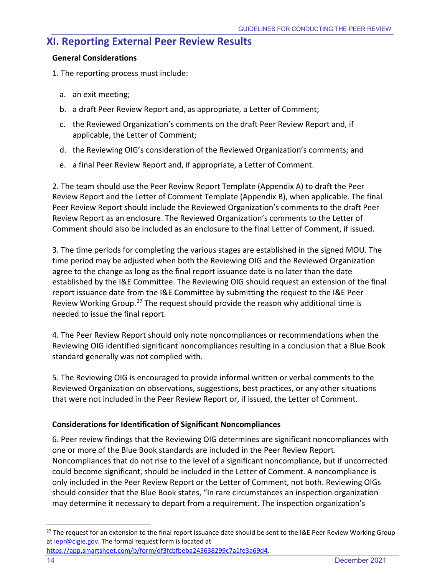## <span id="page-17-0"></span>**XI. Reporting External Peer Review Results**

#### **General Considerations**

1. The reporting process must include:

- a. an exit meeting;
- b. a draft Peer Review Report and, as appropriate, a Letter of Comment;
- c. the Reviewed Organization's comments on the draft Peer Review Report and, if applicable, the Letter of Comment;
- d. the Reviewing OIG's consideration of the Reviewed Organization's comments; and
- e. a final Peer Review Report and, if appropriate, a Letter of Comment.

2. The team should use the Peer Review Report Template (Appendix A) to draft the Peer Review Report and the Letter of Comment Template (Appendix B), when applicable. The final Peer Review Report should include the Reviewed Organization's comments to the draft Peer Review Report as an enclosure. The Reviewed Organization's comments to the Letter of Comment should also be included as an enclosure to the final Letter of Comment, if issued.

3. The time periods for completing the various stages are established in the signed MOU. The time period may be adjusted when both the Reviewing OIG and the Reviewed Organization agree to the change as long as the final report issuance date is no later than the date established by the I&E Committee. The Reviewing OIG should request an extension of the final report issuance date from the I&E Committee by submitting the request to the I&E Peer Review Working Group.<sup>[27](#page-17-1)</sup> The request should provide the reason why additional time is needed to issue the final report.

4. The Peer Review Report should only note noncompliances or recommendations when the Reviewing OIG identified significant noncompliances resulting in a conclusion that a Blue Book standard generally was not complied with.

5. The Reviewing OIG is encouraged to provide informal written or verbal comments to the Reviewed Organization on observations, suggestions, best practices, or any other situations that were not included in the Peer Review Report or, if issued, the Letter of Comment.

#### **Considerations for Identification of Significant Noncompliances**

6. Peer review findings that the Reviewing OIG determines are significant noncompliances with one or more of the Blue Book standards are included in the Peer Review Report. Noncompliances that do not rise to the level of a significant noncompliance, but if uncorrected could become significant, should be included in the Letter of Comment. A noncompliance is only included in the Peer Review Report or the Letter of Comment, not both. Reviewing OIGs should consider that the Blue Book states, "In rare circumstances an inspection organization may determine it necessary to depart from a requirement. The inspection organization's

<span id="page-17-1"></span><sup>&</sup>lt;sup>27</sup> The request for an extension to the final report issuance date should be sent to the I&E Peer Review Working Group at *iepr@cigie.gov*. The formal request form is located at

[https://app.smartsheet.com/b/form/df3fcbfbeba243638299c7a1fe3a69d4.](https://app.smartsheet.com/b/form/df3fcbfbeba243638299c7a1fe3a69d4)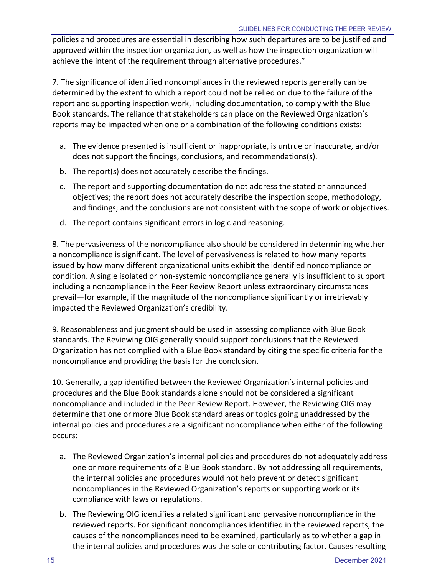policies and procedures are essential in describing how such departures are to be justified and approved within the inspection organization, as well as how the inspection organization will achieve the intent of the requirement through alternative procedures."

7. The significance of identified noncompliances in the reviewed reports generally can be determined by the extent to which a report could not be relied on due to the failure of the report and supporting inspection work, including documentation, to comply with the Blue Book standards. The reliance that stakeholders can place on the Reviewed Organization's reports may be impacted when one or a combination of the following conditions exists:

- a. The evidence presented is insufficient or inappropriate, is untrue or inaccurate, and/or does not support the findings, conclusions, and recommendations(s).
- b. The report(s) does not accurately describe the findings.
- c. The report and supporting documentation do not address the stated or announced objectives; the report does not accurately describe the inspection scope, methodology, and findings; and the conclusions are not consistent with the scope of work or objectives.
- d. The report contains significant errors in logic and reasoning.

8. The pervasiveness of the noncompliance also should be considered in determining whether a noncompliance is significant. The level of pervasiveness is related to how many reports issued by how many different organizational units exhibit the identified noncompliance or condition. A single isolated or non-systemic noncompliance generally is insufficient to support including a noncompliance in the Peer Review Report unless extraordinary circumstances prevail—for example, if the magnitude of the noncompliance significantly or irretrievably impacted the Reviewed Organization's credibility.

9. Reasonableness and judgment should be used in assessing compliance with Blue Book standards. The Reviewing OIG generally should support conclusions that the Reviewed Organization has not complied with a Blue Book standard by citing the specific criteria for the noncompliance and providing the basis for the conclusion.

10. Generally, a gap identified between the Reviewed Organization's internal policies and procedures and the Blue Book standards alone should not be considered a significant noncompliance and included in the Peer Review Report. However, the Reviewing OIG may determine that one or more Blue Book standard areas or topics going unaddressed by the internal policies and procedures are a significant noncompliance when either of the following occurs:

- a. The Reviewed Organization's internal policies and procedures do not adequately address one or more requirements of a Blue Book standard. By not addressing all requirements, the internal policies and procedures would not help prevent or detect significant noncompliances in the Reviewed Organization's reports or supporting work or its compliance with laws or regulations.
- b. The Reviewing OIG identifies a related significant and pervasive noncompliance in the reviewed reports. For significant noncompliances identified in the reviewed reports, the causes of the noncompliances need to be examined, particularly as to whether a gap in the internal policies and procedures was the sole or contributing factor. Causes resulting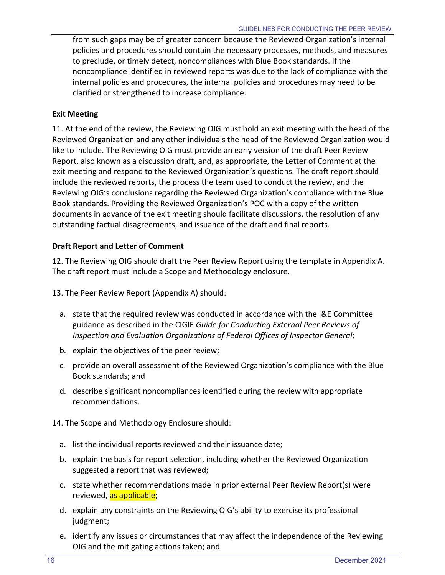from such gaps may be of greater concern because the Reviewed Organization's internal policies and procedures should contain the necessary processes, methods, and measures to preclude, or timely detect, noncompliances with Blue Book standards. If the noncompliance identified in reviewed reports was due to the lack of compliance with the internal policies and procedures, the internal policies and procedures may need to be clarified or strengthened to increase compliance.

#### **Exit Meeting**

11. At the end of the review, the Reviewing OIG must hold an exit meeting with the head of the Reviewed Organization and any other individuals the head of the Reviewed Organization would like to include. The Reviewing OIG must provide an early version of the draft Peer Review Report, also known as a discussion draft, and, as appropriate, the Letter of Comment at the exit meeting and respond to the Reviewed Organization's questions. The draft report should include the reviewed reports, the process the team used to conduct the review, and the Reviewing OIG's conclusions regarding the Reviewed Organization's compliance with the Blue Book standards. Providing the Reviewed Organization's POC with a copy of the written documents in advance of the exit meeting should facilitate discussions, the resolution of any outstanding factual disagreements, and issuance of the draft and final reports.

#### **Draft Report and Letter of Comment**

12. The Reviewing OIG should draft the Peer Review Report using the template in Appendix A. The draft report must include a Scope and Methodology enclosure.

13. The Peer Review Report (Appendix A) should:

- a. state that the required review was conducted in accordance with the I&E Committee guidance as described in the CIGIE *Guide for Conducting External Peer Reviews of Inspection and Evaluation Organizations of Federal Offices of Inspector General*;
- b. explain the objectives of the peer review;
- c. provide an overall assessment of the Reviewed Organization's compliance with the Blue Book standards; and
- d. describe significant noncompliances identified during the review with appropriate recommendations.
- 14. The Scope and Methodology Enclosure should:
	- a. list the individual reports reviewed and their issuance date;
	- b. explain the basis for report selection, including whether the Reviewed Organization suggested a report that was reviewed;
	- c. state whether recommendations made in prior external Peer Review Report(s) were reviewed, as applicable;
	- d. explain any constraints on the Reviewing OIG's ability to exercise its professional judgment;
	- e. identify any issues or circumstances that may affect the independence of the Reviewing OIG and the mitigating actions taken; and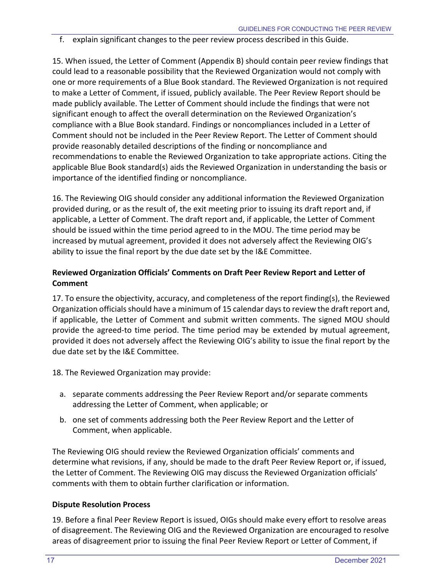f. explain significant changes to the peer review process described in this Guide.

15. When issued, the Letter of Comment (Appendix B) should contain peer review findings that could lead to a reasonable possibility that the Reviewed Organization would not comply with one or more requirements of a Blue Book standard. The Reviewed Organization is not required to make a Letter of Comment, if issued, publicly available. The Peer Review Report should be made publicly available. The Letter of Comment should include the findings that were not significant enough to affect the overall determination on the Reviewed Organization's compliance with a Blue Book standard. Findings or noncompliances included in a Letter of Comment should not be included in the Peer Review Report. The Letter of Comment should provide reasonably detailed descriptions of the finding or noncompliance and recommendations to enable the Reviewed Organization to take appropriate actions. Citing the applicable Blue Book standard(s) aids the Reviewed Organization in understanding the basis or importance of the identified finding or noncompliance.

16. The Reviewing OIG should consider any additional information the Reviewed Organization provided during, or as the result of, the exit meeting prior to issuing its draft report and, if applicable, a Letter of Comment. The draft report and, if applicable, the Letter of Comment should be issued within the time period agreed to in the MOU. The time period may be increased by mutual agreement, provided it does not adversely affect the Reviewing OIG's ability to issue the final report by the due date set by the I&E Committee.

### **Reviewed Organization Officials' Comments on Draft Peer Review Report and Letter of Comment**

17. To ensure the objectivity, accuracy, and completeness of the report finding(s), the Reviewed Organization officials should have a minimum of 15 calendar days to review the draft report and, if applicable, the Letter of Comment and submit written comments. The signed MOU should provide the agreed-to time period. The time period may be extended by mutual agreement, provided it does not adversely affect the Reviewing OIG's ability to issue the final report by the due date set by the I&E Committee.

18. The Reviewed Organization may provide:

- a. separate comments addressing the Peer Review Report and/or separate comments addressing the Letter of Comment, when applicable; or
- b. one set of comments addressing both the Peer Review Report and the Letter of Comment, when applicable.

The Reviewing OIG should review the Reviewed Organization officials' comments and determine what revisions, if any, should be made to the draft Peer Review Report or, if issued, the Letter of Comment. The Reviewing OIG may discuss the Reviewed Organization officials' comments with them to obtain further clarification or information.

#### **Dispute Resolution Process**

19. Before a final Peer Review Report is issued, OIGs should make every effort to resolve areas of disagreement. The Reviewing OIG and the Reviewed Organization are encouraged to resolve areas of disagreement prior to issuing the final Peer Review Report or Letter of Comment, if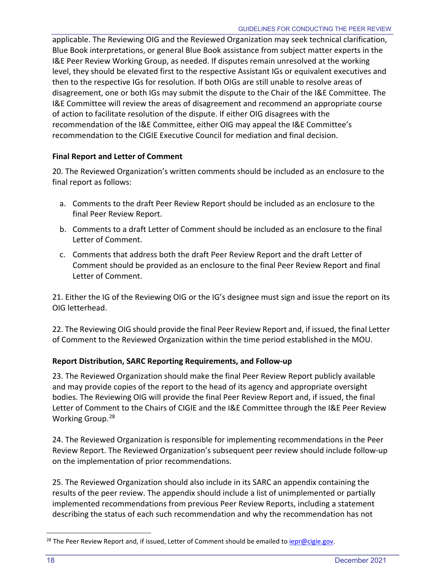applicable. The Reviewing OIG and the Reviewed Organization may seek technical clarification, Blue Book interpretations, or general Blue Book assistance from subject matter experts in the I&E Peer Review Working Group, as needed. If disputes remain unresolved at the working level, they should be elevated first to the respective Assistant IGs or equivalent executives and then to the respective IGs for resolution. If both OIGs are still unable to resolve areas of disagreement, one or both IGs may submit the dispute to the Chair of the I&E Committee. The I&E Committee will review the areas of disagreement and recommend an appropriate course of action to facilitate resolution of the dispute. If either OIG disagrees with the recommendation of the I&E Committee, either OIG may appeal the I&E Committee's recommendation to the CIGIE Executive Council for mediation and final decision.

### **Final Report and Letter of Comment**

20. The Reviewed Organization's written comments should be included as an enclosure to the final report as follows:

- a. Comments to the draft Peer Review Report should be included as an enclosure to the final Peer Review Report.
- b. Comments to a draft Letter of Comment should be included as an enclosure to the final Letter of Comment.
- c. Comments that address both the draft Peer Review Report and the draft Letter of Comment should be provided as an enclosure to the final Peer Review Report and final Letter of Comment.

21. Either the IG of the Reviewing OIG or the IG's designee must sign and issue the report on its OIG letterhead.

22. The Reviewing OIG should provide the final Peer Review Report and, if issued, the final Letter of Comment to the Reviewed Organization within the time period established in the MOU.

## **Report Distribution, SARC Reporting Requirements, and Follow-up**

23. The Reviewed Organization should make the final Peer Review Report publicly available and may provide copies of the report to the head of its agency and appropriate oversight bodies. The Reviewing OIG will provide the final Peer Review Report and, if issued, the final Letter of Comment to the Chairs of CIGIE and the I&E Committee through the I&E Peer Review Working Group. [28](#page-21-0)

24. The Reviewed Organization is responsible for implementing recommendations in the Peer Review Report. The Reviewed Organization's subsequent peer review should include follow-up on the implementation of prior recommendations.

25. The Reviewed Organization should also include in its SARC an appendix containing the results of the peer review. The appendix should include a list of unimplemented or partially implemented recommendations from previous Peer Review Reports, including a statement describing the status of each such recommendation and why the recommendation has not

<span id="page-21-0"></span><sup>&</sup>lt;sup>28</sup> The Peer Review Report and, if issued, Letter of Comment should be emailed to **iepr@cigie.gov**.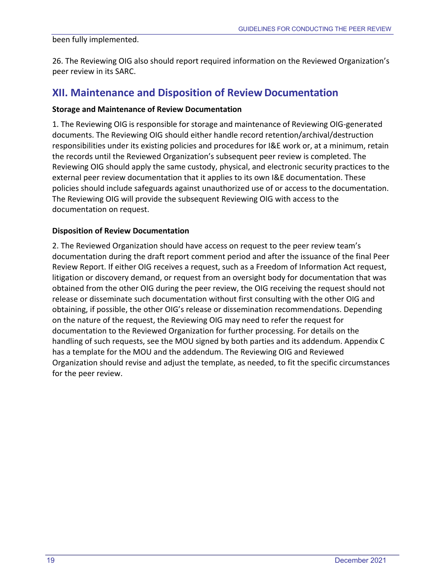#### been fully implemented.

26. The Reviewing OIG also should report required information on the Reviewed Organization's peer review in its SARC.

## <span id="page-22-0"></span>**XII. Maintenance and Disposition of Review Documentation**

#### **Storage and Maintenance of Review Documentation**

1. The Reviewing OIG is responsible for storage and maintenance of Reviewing OIG-generated documents. The Reviewing OIG should either handle record retention/archival/destruction responsibilities under its existing policies and procedures for I&E work or, at a minimum, retain the records until the Reviewed Organization's subsequent peer review is completed. The Reviewing OIG should apply the same custody, physical, and electronic security practices to the external peer review documentation that it applies to its own I&E documentation. These policies should include safeguards against unauthorized use of or access to the documentation. The Reviewing OIG will provide the subsequent Reviewing OIG with access to the documentation on request.

#### **Disposition of Review Documentation**

2. The Reviewed Organization should have access on request to the peer review team's documentation during the draft report comment period and after the issuance of the final Peer Review Report. If either OIG receives a request, such as a Freedom of Information Act request, litigation or discovery demand, or request from an oversight body for documentation that was obtained from the other OIG during the peer review, the OIG receiving the request should not release or disseminate such documentation without first consulting with the other OIG and obtaining, if possible, the other OIG's release or dissemination recommendations. Depending on the nature of the request, the Reviewing OIG may need to refer the request for documentation to the Reviewed Organization for further processing. For details on the handling of such requests, see the MOU signed by both parties and its addendum. Appendix C has a template for the MOU and the addendum. The Reviewing OIG and Reviewed Organization should revise and adjust the template, as needed, to fit the specific circumstances for the peer review.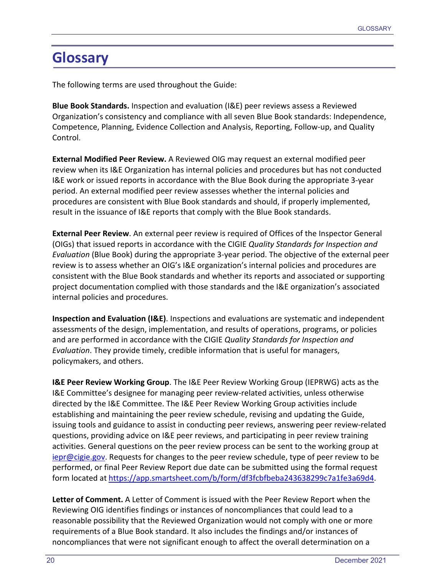# <span id="page-23-0"></span>**Glossary**

The following terms are used throughout the Guide:

**Blue Book Standards.** Inspection and evaluation (I&E) peer reviews assess a Reviewed Organization's consistency and compliance with all seven Blue Book standards: Independence, Competence, Planning, Evidence Collection and Analysis, Reporting, Follow-up, and Quality Control.

**External Modified Peer Review.** A Reviewed OIG may request an external modified peer review when its I&E Organization has internal policies and procedures but has not conducted I&E work or issued reports in accordance with the Blue Book during the appropriate 3-year period. An external modified peer review assesses whether the internal policies and procedures are consistent with Blue Book standards and should, if properly implemented, result in the issuance of I&E reports that comply with the Blue Book standards.

**External Peer Review**. An external peer review is required of Offices of the Inspector General (OIGs) that issued reports in accordance with the CIGIE *Quality Standards for Inspection and Evaluation* (Blue Book) during the appropriate 3-year period. The objective of the external peer review is to assess whether an OIG's I&E organization's internal policies and procedures are consistent with the Blue Book standards and whether its reports and associated or supporting project documentation complied with those standards and the I&E organization's associated internal policies and procedures.

**Inspection and Evaluation (I&E)**. Inspections and evaluations are systematic and independent assessments of the design, implementation, and results of operations, programs, or policies and are performed in accordance with the CIGIE *Quality Standards for Inspection and Evaluation*. They provide timely, credible information that is useful for managers, policymakers, and others.

**I&E Peer Review Working Group**. The I&E Peer Review Working Group (IEPRWG) acts as the I&E Committee's designee for managing peer review-related activities, unless otherwise directed by the I&E Committee. The I&E Peer Review Working Group activities include establishing and maintaining the peer review schedule, revising and updating the Guide, issuing tools and guidance to assist in conducting peer reviews, answering peer review-related questions, providing advice on I&E peer reviews, and participating in peer review training activities. General questions on the peer review process can be sent to the working group at [iepr@cigie.gov.](mailto:iepr@cigie.gov) Requests for changes to the peer review schedule, type of peer review to be performed, or final Peer Review Report due date can be submitted using the formal request form located at [https://app.smartsheet.com/b/form/df3fcbfbeba243638299c7a1fe3a69d4.](https://gcc02.safelinks.protection.outlook.com/?url=https%3A%2F%2Fapp.smartsheet.com%2Fb%2Fform%2Fdf3fcbfbeba243638299c7a1fe3a69d4&data=04%7C01%7C%7C5edd3d07417e463ee2d108d97e9994a8%7C595e2b2f8279465184a36e3609e6dd37%7C0%7C0%7C637680020379018166%7CUnknown%7CTWFpbGZsb3d8eyJWIjoiMC4wLjAwMDAiLCJQIjoiV2luMzIiLCJBTiI6Ik1haWwiLCJXVCI6Mn0%3D%7C1000&sdata=WDfPmQNom26QM91Bb8ZZaNWooUdxDVL7sGpp6vl%2Bs6w%3D&reserved=0)

**Letter of Comment.** A Letter of Comment is issued with the Peer Review Report when the Reviewing OIG identifies findings or instances of noncompliances that could lead to a reasonable possibility that the Reviewed Organization would not comply with one or more requirements of a Blue Book standard. It also includes the findings and/or instances of noncompliances that were not significant enough to affect the overall determination on a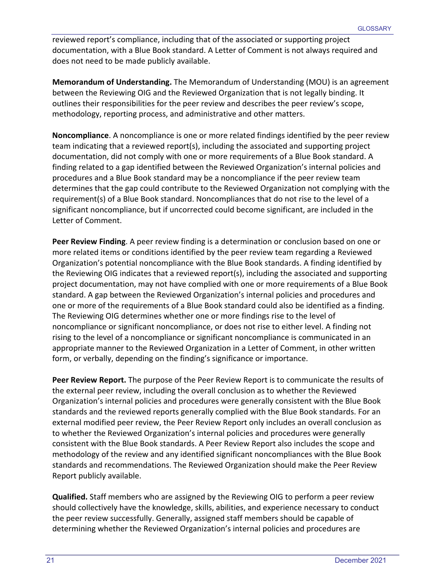reviewed report's compliance, including that of the associated or supporting project documentation, with a Blue Book standard. A Letter of Comment is not always required and does not need to be made publicly available.

**Memorandum of Understanding.** The Memorandum of Understanding (MOU) is an agreement between the Reviewing OIG and the Reviewed Organization that is not legally binding. It outlines their responsibilities for the peer review and describes the peer review's scope, methodology, reporting process, and administrative and other matters.

**Noncompliance**. A noncompliance is one or more related findings identified by the peer review team indicating that a reviewed report(s), including the associated and supporting project documentation, did not comply with one or more requirements of a Blue Book standard. A finding related to a gap identified between the Reviewed Organization's internal policies and procedures and a Blue Book standard may be a noncompliance if the peer review team determines that the gap could contribute to the Reviewed Organization not complying with the requirement(s) of a Blue Book standard. Noncompliances that do not rise to the level of a significant noncompliance, but if uncorrected could become significant, are included in the Letter of Comment.

**Peer Review Finding**. A peer review finding is a determination or conclusion based on one or more related items or conditions identified by the peer review team regarding a Reviewed Organization's potential noncompliance with the Blue Book standards. A finding identified by the Reviewing OIG indicates that a reviewed report(s), including the associated and supporting project documentation, may not have complied with one or more requirements of a Blue Book standard. A gap between the Reviewed Organization's internal policies and procedures and one or more of the requirements of a Blue Book standard could also be identified as a finding. The Reviewing OIG determines whether one or more findings rise to the level of noncompliance or significant noncompliance, or does not rise to either level. A finding not rising to the level of a noncompliance or significant noncompliance is communicated in an appropriate manner to the Reviewed Organization in a Letter of Comment, in other written form, or verbally, depending on the finding's significance or importance.

**Peer Review Report.** The purpose of the Peer Review Report is to communicate the results of the external peer review, including the overall conclusion as to whether the Reviewed Organization's internal policies and procedures were generally consistent with the Blue Book standards and the reviewed reports generally complied with the Blue Book standards. For an external modified peer review, the Peer Review Report only includes an overall conclusion as to whether the Reviewed Organization's internal policies and procedures were generally consistent with the Blue Book standards. A Peer Review Report also includes the scope and methodology of the review and any identified significant noncompliances with the Blue Book standards and recommendations. The Reviewed Organization should make the Peer Review Report publicly available.

**Qualified.** Staff members who are assigned by the Reviewing OIG to perform a peer review should collectively have the knowledge, skills, abilities, and experience necessary to conduct the peer review successfully. Generally, assigned staff members should be capable of determining whether the Reviewed Organization's internal policies and procedures are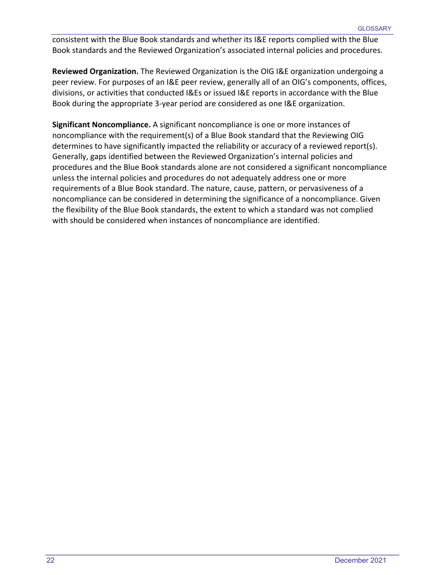consistent with the Blue Book standards and whether its I&E reports complied with the Blue Book standards and the Reviewed Organization's associated internal policies and procedures.

**Reviewed Organization.** The Reviewed Organization is the OIG I&E organization undergoing a peer review. For purposes of an I&E peer review, generally all of an OIG's components, offices, divisions, or activities that conducted I&Es or issued I&E reports in accordance with the Blue Book during the appropriate 3-year period are considered as one I&E organization.

**Significant Noncompliance.** A significant noncompliance is one or more instances of noncompliance with the requirement(s) of a Blue Book standard that the Reviewing OIG determines to have significantly impacted the reliability or accuracy of a reviewed report(s). Generally, gaps identified between the Reviewed Organization's internal policies and procedures and the Blue Book standards alone are not considered a significant noncompliance unless the internal policies and procedures do not adequately address one or more requirements of a Blue Book standard. The nature, cause, pattern, or pervasiveness of a noncompliance can be considered in determining the significance of a noncompliance. Given the flexibility of the Blue Book standards, the extent to which a standard was not complied with should be considered when instances of noncompliance are identified.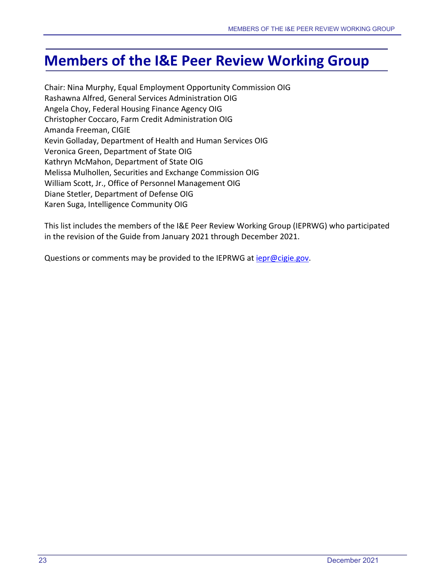# <span id="page-26-0"></span>**Members of the I&E Peer Review Working Group**

Chair: Nina Murphy, Equal Employment Opportunity Commission OIG Rashawna Alfred, General Services Administration OIG Angela Choy, Federal Housing Finance Agency OIG Christopher Coccaro, Farm Credit Administration OIG Amanda Freeman, CIGIE Kevin Golladay, Department of Health and Human Services OIG Veronica Green, Department of State OIG Kathryn McMahon, Department of State OIG Melissa Mulhollen, Securities and Exchange Commission OIG William Scott, Jr., Office of Personnel Management OIG Diane Stetler, Department of Defense OIG Karen Suga, Intelligence Community OIG

This list includes the members of the I&E Peer Review Working Group (IEPRWG) who participated in the revision of the Guide from January 2021 through December 2021.

Questions or comments may be provided to the IEPRWG at *iepr@cigie.gov*.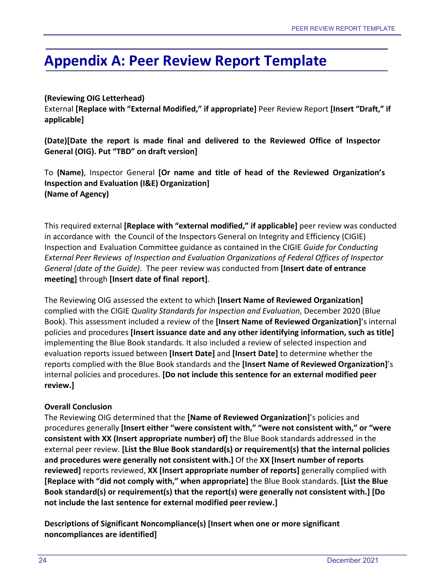# <span id="page-27-0"></span>**Appendix A: Peer Review Report Template**

### **(Reviewing OIG Letterhead)**

External **[Replace with "External Modified," if appropriate]** Peer Review Report **[Insert "Draft," if applicable]**

**(Date)[Date the report is made final and delivered to the Reviewed Office of Inspector General (OIG). Put "TBD" on draft version]**

To **(Name)**, Inspector General **[Or name and title of head of the Reviewed Organization's Inspection and Evaluation (I&E) Organization] (Name of Agency)**

This required external **[Replace with "external modified," if applicable]** peer review was conducted in accordance with the Council of the Inspectors General on Integrity and Efficiency (CIGIE) Inspection and Evaluation Committee guidance as contained in the CIGIE *Guide for Conducting External Peer Reviews of Inspection and Evaluation Organizations of Federal Offices of Inspector General (date of the Guide)*. The peer review was conducted from **[Insert date of entrance meeting]** through **[Insert date of final report]**.

The Reviewing OIG assessed the extent to which **[Insert Name of Reviewed Organization]** complied with the CIGIE *Quality Standards for Inspection and Evaluation*, December 2020 (Blue Book). This assessment included a review of the **[Insert Name of Reviewed Organization]**'s internal policies and procedures **[Insert issuance date and any other identifying information, such as title]** implementing the Blue Book standards. It also included a review of selected inspection and evaluation reports issued between **[Insert Date]** and **[Insert Date]** to determine whether the reports complied with the Blue Book standards and the **[Insert Name of Reviewed Organization]**'s internal policies and procedures. **[Do not include this sentence for an external modified peer review.]**

## **Overall Conclusion**

The Reviewing OIG determined that the **[Name of Reviewed Organization]**'s policies and procedures generally **[Insert either "were consistent with," "were not consistent with," or "were consistent with XX (Insert appropriate number) of]** the Blue Book standards addressed in the external peer review. **[List the Blue Book standard(s) or requirement(s) that the internal policies and procedures were generally not consistent with.]** Of the **XX [Insert number of reports reviewed]** reports reviewed, **XX [Insert appropriate number of reports]** generally complied with **[Replace with "did not comply with," when appropriate]** the Blue Book standards. **[List the Blue Book standard(s) or requirement(s) that the report(s) were generally not consistent with.] [Do not include the last sentence for external modified peerreview.]**

**Descriptions of Significant Noncompliance(s) [Insert when one or more significant noncompliances are identified]**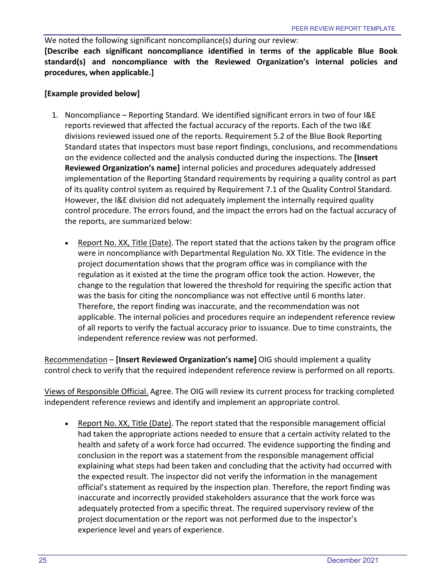We noted the following significant noncompliance(s) during our review: **[Describe each significant noncompliance identified in terms of the applicable Blue Book standard(s) and noncompliance with the Reviewed Organization's internal policies and procedures, when applicable.]**

#### **[Example provided below]**

- 1. Noncompliance Reporting Standard. We identified significant errors in two of four I&E reports reviewed that affected the factual accuracy of the reports. Each of the two I&E divisions reviewed issued one of the reports. Requirement 5.2 of the Blue Book Reporting Standard states that inspectors must base report findings, conclusions, and recommendations on the evidence collected and the analysis conducted during the inspections. The **[Insert Reviewed Organization's name]** internal policies and procedures adequately addressed implementation of the Reporting Standard requirements by requiring a quality control as part of its quality control system as required by Requirement 7.1 of the Quality Control Standard. However, the I&E division did not adequately implement the internally required quality control procedure. The errors found, and the impact the errors had on the factual accuracy of the reports, are summarized below:
	- Report No. XX, Title (Date). The report stated that the actions taken by the program office were in noncompliance with Departmental Regulation No. XX Title. The evidence in the project documentation shows that the program office was in compliance with the regulation as it existed at the time the program office took the action. However, the change to the regulation that lowered the threshold for requiring the specific action that was the basis for citing the noncompliance was not effective until 6 months later. Therefore, the report finding was inaccurate, and the recommendation was not applicable. The internal policies and procedures require an independent reference review of all reports to verify the factual accuracy prior to issuance. Due to time constraints, the independent reference review was not performed.

Recommendation – **[Insert Reviewed Organization's name]** OIG should implement a quality control check to verify that the required independent reference review is performed on all reports.

Views of Responsible Official. Agree. The OIG will review its current process for tracking completed independent reference reviews and identify and implement an appropriate control.

• Report No. XX, Title (Date). The report stated that the responsible management official had taken the appropriate actions needed to ensure that a certain activity related to the health and safety of a work force had occurred. The evidence supporting the finding and conclusion in the report was a statement from the responsible management official explaining what steps had been taken and concluding that the activity had occurred with the expected result. The inspector did not verify the information in the management official's statement as required by the inspection plan. Therefore, the report finding was inaccurate and incorrectly provided stakeholders assurance that the work force was adequately protected from a specific threat. The required supervisory review of the project documentation or the report was not performed due to the inspector's experience level and years of experience.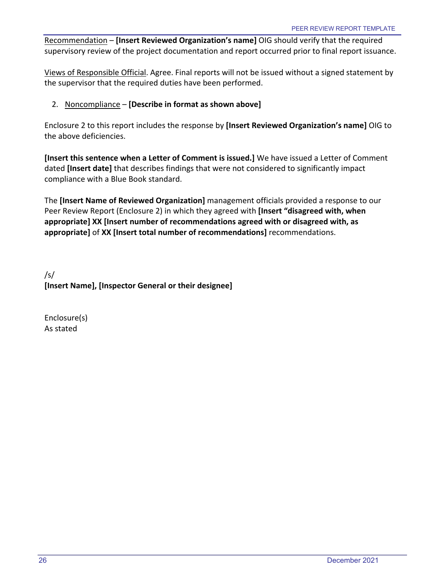Recommendation – **[Insert Reviewed Organization's name]** OIG should verify that the required supervisory review of the project documentation and report occurred prior to final report issuance.

Views of Responsible Official. Agree. Final reports will not be issued without a signed statement by the supervisor that the required duties have been performed.

### 2. Noncompliance – **[Describe in format as shown above]**

Enclosure 2 to this report includes the response by **[Insert Reviewed Organization's name]** OIG to the above deficiencies.

**[Insert this sentence when a Letter of Comment is issued.]** We have issued a Letter of Comment dated **[Insert date]** that describes findings that were not considered to significantly impact compliance with a Blue Book standard.

The **[Insert Name of Reviewed Organization]** management officials provided a response to our Peer Review Report (Enclosure 2) in which they agreed with **[Insert "disagreed with, when appropriate] XX [Insert number of recommendations agreed with or disagreed with, as appropriate]** of **XX [Insert total number of recommendations]** recommendations.

/s/ **[Insert Name], [Inspector General or their designee]**

Enclosure(s) As stated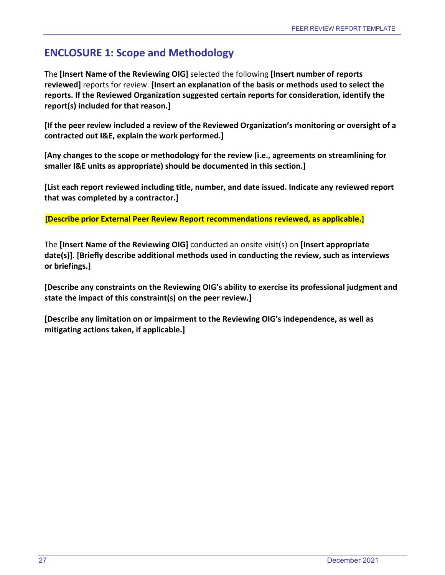# <span id="page-30-0"></span>**ENCLOSURE 1: Scope and Methodology**

The **[Insert Name of the Reviewing OIG]** selected the following **[Insert number of reports reviewed]** reports for review. **[Insert an explanation of the basis or methods used to select the reports. If the Reviewed Organization suggested certain reports for consideration, identify the report(s) included for that reason.]**

**[If the peer review included a review of the Reviewed Organization's monitoring or oversight of a contracted out I&E, explain the work performed.]**

[**Any changes to the scope or methodology for the review (i.e., agreements on streamlining for smaller I&E units as appropriate) should be documented in this section.]**

**[List each report reviewed including title, number, and date issued. Indicate any reviewed report that was completed by a contractor.]**

**[Describe prior External Peer Review Report recommendations reviewed, as applicable.]**

The **[Insert Name of the Reviewing OIG]** conducted an onsite visit(s) on **[Insert appropriate date(s)]**. **[Briefly describe additional methods used in conducting the review, such as interviews or briefings.]**

**[Describe any constraints on the Reviewing OIG's ability to exercise its professional judgment and state the impact of this constraint(s) on the peer review.]** 

**[Describe any limitation on or impairment to the Reviewing OIG's independence, as well as mitigating actions taken, if applicable.]**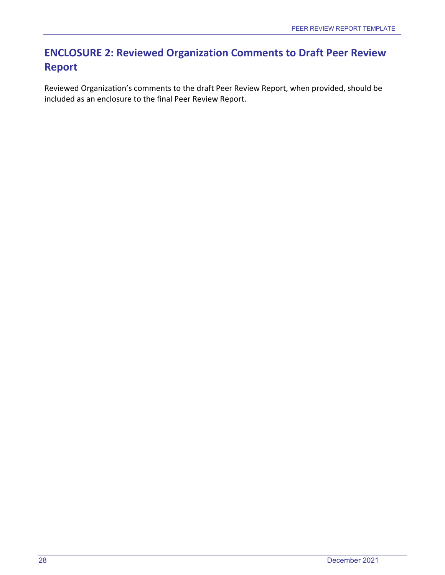# <span id="page-31-0"></span>**ENCLOSURE 2: Reviewed Organization Comments to Draft Peer Review Report**

Reviewed Organization's comments to the draft Peer Review Report, when provided, should be included as an enclosure to the final Peer Review Report.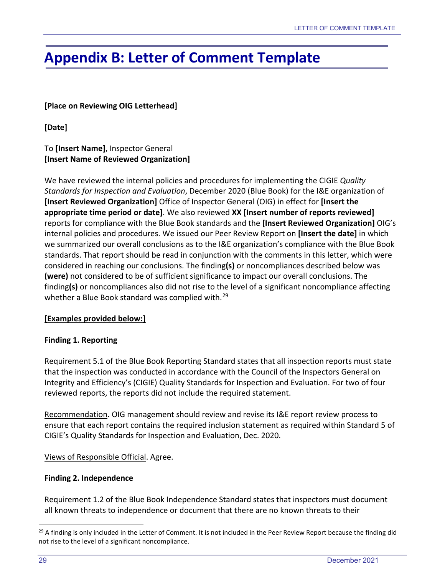# <span id="page-32-0"></span>**Appendix B: Letter of Comment Template**

### **[Place on Reviewing OIG Letterhead]**

**[Date]**

## To **[Insert Name]**, Inspector General **[Insert Name of Reviewed Organization]**

We have reviewed the internal policies and procedures for implementing the CIGIE *Quality Standards for Inspection and Evaluation*, December 2020 (Blue Book) for the I&E organization of **[Insert Reviewed Organization]** Office of Inspector General (OIG) in effect for **[Insert the appropriate time period or date]**. We also reviewed **XX [Insert number of reports reviewed]** reports for compliance with the Blue Book standards and the **[Insert Reviewed Organization]** OIG's internal policies and procedures. We issued our Peer Review Report on **[Insert the date]** in which we summarized our overall conclusions as to the I&E organization's compliance with the Blue Book standards. That report should be read in conjunction with the comments in this letter, which were considered in reaching our conclusions. The finding**(s)** or noncompliances described below was **(were)** not considered to be of sufficient significance to impact our overall conclusions. The finding**(s)** or noncompliances also did not rise to the level of a significant noncompliance affecting whether a Blue Book standard was complied with.<sup>[29](#page-32-1)</sup>

#### **[Examples provided below:]**

#### **Finding 1. Reporting**

Requirement 5.1 of the Blue Book Reporting Standard states that all inspection reports must state that the inspection was conducted in accordance with the Council of the Inspectors General on Integrity and Efficiency's (CIGIE) Quality Standards for Inspection and Evaluation. For two of four reviewed reports, the reports did not include the required statement.

Recommendation. OIG management should review and revise its I&E report review process to ensure that each report contains the required inclusion statement as required within Standard 5 of CIGIE's Quality Standards for Inspection and Evaluation, Dec. 2020.

#### Views of Responsible Official. Agree.

#### **Finding 2. Independence**

Requirement 1.2 of the Blue Book Independence Standard states that inspectors must document all known threats to independence or document that there are no known threats to their

<span id="page-32-1"></span> $29$  A finding is only included in the Letter of Comment. It is not included in the Peer Review Report because the finding did not rise to the level of a significant noncompliance.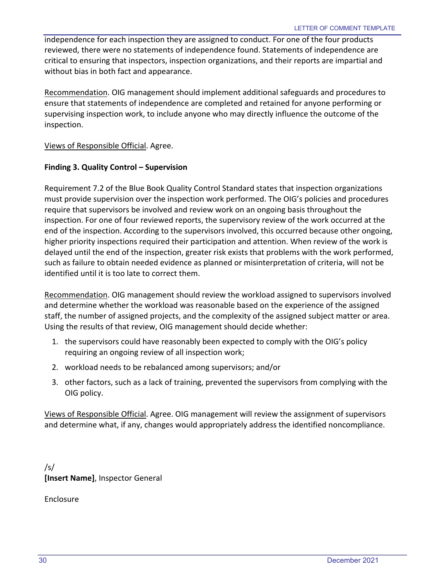independence for each inspection they are assigned to conduct. For one of the four products reviewed, there were no statements of independence found. Statements of independence are critical to ensuring that inspectors, inspection organizations, and their reports are impartial and without bias in both fact and appearance.

Recommendation. OIG management should implement additional safeguards and procedures to ensure that statements of independence are completed and retained for anyone performing or supervising inspection work, to include anyone who may directly influence the outcome of the inspection.

Views of Responsible Official. Agree.

#### **Finding 3. Quality Control – Supervision**

Requirement 7.2 of the Blue Book Quality Control Standard states that inspection organizations must provide supervision over the inspection work performed. The OIG's policies and procedures require that supervisors be involved and review work on an ongoing basis throughout the inspection. For one of four reviewed reports, the supervisory review of the work occurred at the end of the inspection. According to the supervisors involved, this occurred because other ongoing, higher priority inspections required their participation and attention. When review of the work is delayed until the end of the inspection, greater risk exists that problems with the work performed, such as failure to obtain needed evidence as planned or misinterpretation of criteria, will not be identified until it is too late to correct them.

Recommendation. OIG management should review the workload assigned to supervisors involved and determine whether the workload was reasonable based on the experience of the assigned staff, the number of assigned projects, and the complexity of the assigned subject matter or area. Using the results of that review, OIG management should decide whether:

- 1. the supervisors could have reasonably been expected to comply with the OIG's policy requiring an ongoing review of all inspection work;
- 2. workload needs to be rebalanced among supervisors; and/or
- 3. other factors, such as a lack of training, prevented the supervisors from complying with the OIG policy.

Views of Responsible Official. Agree. OIG management will review the assignment of supervisors and determine what, if any, changes would appropriately address the identified noncompliance.

/s/ **[Insert Name]**, Inspector General

Enclosure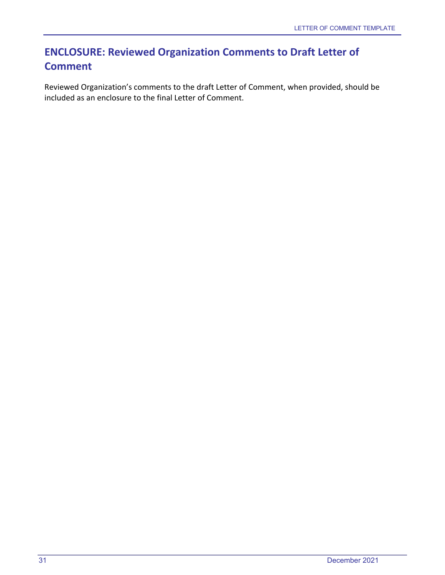# <span id="page-34-0"></span>**ENCLOSURE: Reviewed Organization Comments to Draft Letter of Comment**

Reviewed Organization's comments to the draft Letter of Comment, when provided, should be included as an enclosure to the final Letter of Comment.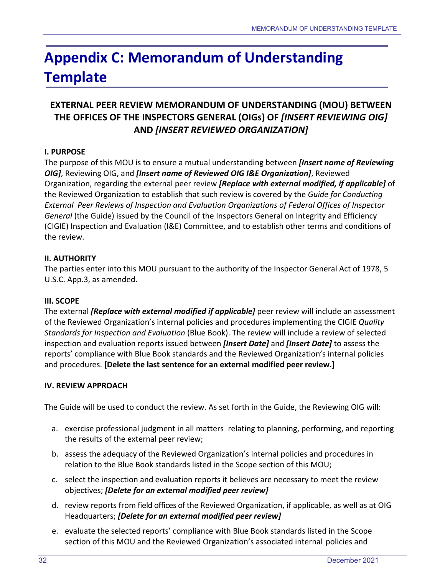# <span id="page-35-0"></span>**Appendix C: Memorandum of Understanding Template**

## **EXTERNAL PEER REVIEW MEMORANDUM OF UNDERSTANDING (MOU) BETWEEN THE OFFICES OF THE INSPECTORS GENERAL (OIGs) OF** *[INSERT REVIEWING OIG]* **AND** *[INSERT REVIEWED ORGANIZATION]*

## **I. PURPOSE**

The purpose of this MOU is to ensure a mutual understanding between *[Insert name of Reviewing OIG]*, Reviewing OIG, and *[Insert name of Reviewed OIG I&E Organization]*, Reviewed Organization, regarding the external peer review *[Replace with external modified, if applicable]* of the Reviewed Organization to establish that such review is covered by the *Guide for Conducting External Peer Reviews of Inspection and Evaluation Organizations of Federal Offices of Inspector General* (the Guide) issued by the Council of the Inspectors General on Integrity and Efficiency (CIGIE) Inspection and Evaluation (I&E) Committee, and to establish other terms and conditions of the review.

#### **II. AUTHORITY**

The parties enter into this MOU pursuant to the authority of the Inspector General Act of 1978, 5 U.S.C. App.3, as amended.

#### **III. SCOPE**

The external *[Replace with external modified if applicable]* peer review will include an assessment of the Reviewed Organization's internal policies and procedures implementing the CIGIE *Quality Standards for Inspection and Evaluation* (Blue Book). The review will include a review of selected inspection and evaluation reports issued between *[Insert Date]* and *[Insert Date]* to assess the reports' compliance with Blue Book standards and the Reviewed Organization's internal policies and procedures. **[Delete the last sentence for an external modified peer review.]**

## **IV. REVIEW APPROACH**

The Guide will be used to conduct the review. As set forth in the Guide, the Reviewing OIG will:

- a. exercise professional judgment in all matters relating to planning, performing, and reporting the results of the external peer review;
- b. assess the adequacy of the Reviewed Organization's internal policies and procedures in relation to the Blue Book standards listed in the Scope section of this MOU;
- c. select the inspection and evaluation reports it believes are necessary to meet the review objectives; *[Delete for an external modified peer review]*
- d. review reports from field offices of the Reviewed Organization, if applicable, as well as at OIG Headquarters; *[Delete for an external modified peer review]*
- e. evaluate the selected reports' compliance with Blue Book standards listed in the Scope section of this MOU and the Reviewed Organization's associated internal policies and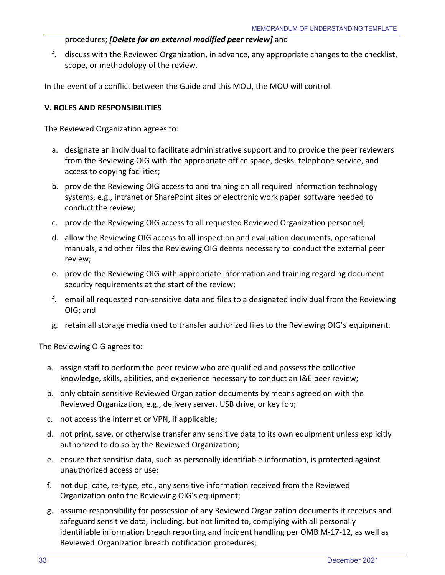#### procedures; *[Delete for an external modified peer review]* and

f. discuss with the Reviewed Organization, in advance, any appropriate changes to the checklist, scope, or methodology of the review.

In the event of a conflict between the Guide and this MOU, the MOU will control.

### **V. ROLES AND RESPONSIBILITIES**

The Reviewed Organization agrees to:

- a. designate an individual to facilitate administrative support and to provide the peer reviewers from the Reviewing OIG with the appropriate office space, desks, telephone service, and access to copying facilities;
- b. provide the Reviewing OIG access to and training on all required information technology systems, e.g., intranet or SharePoint sites or electronic work paper software needed to conduct the review;
- c. provide the Reviewing OIG access to all requested Reviewed Organization personnel;
- d. allow the Reviewing OIG access to all inspection and evaluation documents, operational manuals, and other files the Reviewing OIG deems necessary to conduct the external peer review;
- e. provide the Reviewing OIG with appropriate information and training regarding document security requirements at the start of the review;
- f. email all requested non-sensitive data and files to a designated individual from the Reviewing OIG; and
- g. retain all storage media used to transfer authorized files to the Reviewing OIG's equipment.

The Reviewing OIG agrees to:

- a. assign staff to perform the peer review who are qualified and possess the collective knowledge, skills, abilities, and experience necessary to conduct an I&E peer review;
- b. only obtain sensitive Reviewed Organization documents by means agreed on with the Reviewed Organization, e.g., delivery server, USB drive, or key fob;
- c. not access the internet or VPN, if applicable;
- d. not print, save, or otherwise transfer any sensitive data to its own equipment unless explicitly authorized to do so by the Reviewed Organization;
- e. ensure that sensitive data, such as personally identifiable information, is protected against unauthorized access or use;
- f. not duplicate, re-type, etc., any sensitive information received from the Reviewed Organization onto the Reviewing OIG's equipment;
- g. assume responsibility for possession of any Reviewed Organization documents it receives and safeguard sensitive data, including, but not limited to, complying with all personally identifiable information breach reporting and incident handling per OMB M-17-12, as well as Reviewed Organization breach notification procedures;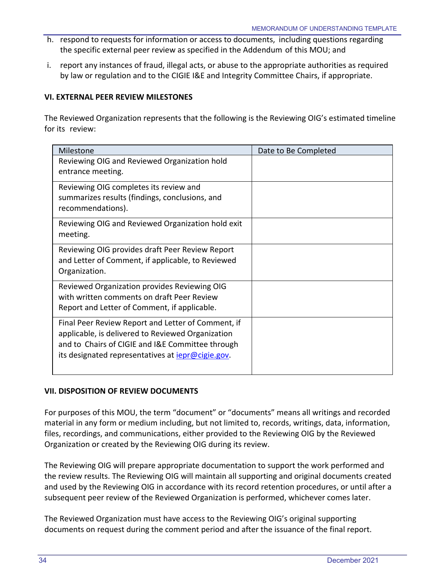- h. respond to requests for information or access to documents, including questions regarding the specific external peer review as specified in the Addendum of this MOU; and
- i. report any instances of fraud, illegal acts, or abuse to the appropriate authorities as required by law or regulation and to the CIGIE I&E and Integrity Committee Chairs, if appropriate.

#### **VI. EXTERNAL PEER REVIEW MILESTONES**

The Reviewed Organization represents that the following is the Reviewing OIG's estimated timeline for its review:

| Milestone                                                 | Date to Be Completed |
|-----------------------------------------------------------|----------------------|
| Reviewing OIG and Reviewed Organization hold              |                      |
| entrance meeting.                                         |                      |
| Reviewing OIG completes its review and                    |                      |
| summarizes results (findings, conclusions, and            |                      |
| recommendations).                                         |                      |
| Reviewing OIG and Reviewed Organization hold exit         |                      |
| meeting.                                                  |                      |
| Reviewing OIG provides draft Peer Review Report           |                      |
| and Letter of Comment, if applicable, to Reviewed         |                      |
| Organization.                                             |                      |
| Reviewed Organization provides Reviewing OIG              |                      |
| with written comments on draft Peer Review                |                      |
| Report and Letter of Comment, if applicable.              |                      |
| Final Peer Review Report and Letter of Comment, if        |                      |
| applicable, is delivered to Reviewed Organization         |                      |
| and to Chairs of CIGIE and I&E Committee through          |                      |
| its designated representatives at <i>iepr@cigie.gov</i> . |                      |
|                                                           |                      |

#### **VII. DISPOSITION OF REVIEW DOCUMENTS**

For purposes of this MOU, the term "document" or "documents" means all writings and recorded material in any form or medium including, but not limited to, records, writings, data, information, files, recordings, and communications, either provided to the Reviewing OIG by the Reviewed Organization or created by the Reviewing OIG during its review.

The Reviewing OIG will prepare appropriate documentation to support the work performed and the review results. The Reviewing OIG will maintain all supporting and original documents created and used by the Reviewing OIG in accordance with its record retention procedures, or until after a subsequent peer review of the Reviewed Organization is performed, whichever comes later.

The Reviewed Organization must have access to the Reviewing OIG's original supporting documents on request during the comment period and after the issuance of the final report.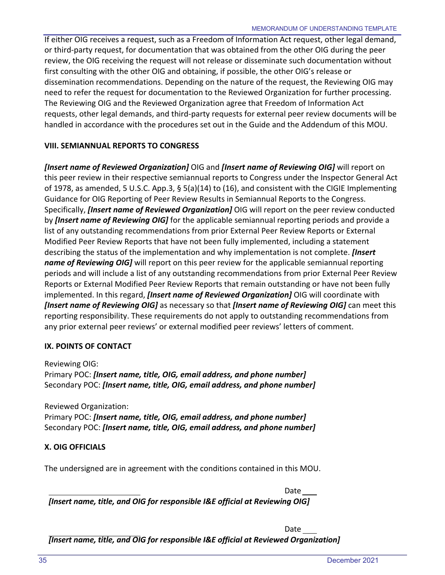If either OIG receives a request, such as a Freedom of Information Act request, other legal demand, or third-party request, for documentation that was obtained from the other OIG during the peer review, the OIG receiving the request will not release or disseminate such documentation without first consulting with the other OIG and obtaining, if possible, the other OIG's release or dissemination recommendations. Depending on the nature of the request, the Reviewing OIG may need to refer the request for documentation to the Reviewed Organization for further processing. The Reviewing OIG and the Reviewed Organization agree that Freedom of Information Act requests, other legal demands, and third-party requests for external peer review documents will be handled in accordance with the procedures set out in the Guide and the Addendum of this MOU.

#### **VIII. SEMIANNUAL REPORTS TO CONGRESS**

*[Insert name of Reviewed Organization]* OIG and *[Insert name of Reviewing OIG]* will report on this peer review in their respective semiannual reports to Congress under the Inspector General Act of 1978, as amended, 5 U.S.C. App.3, § 5(a)(14) to (16), and consistent with the CIGIE Implementing Guidance for OIG Reporting of Peer Review Results in Semiannual Reports to the Congress. Specifically, *[Insert name of Reviewed Organization]* OIG will report on the peer review conducted by *[Insert name of Reviewing OIG]* for the applicable semiannual reporting periods and provide a list of any outstanding recommendations from prior External Peer Review Reports or External Modified Peer Review Reports that have not been fully implemented, including a statement describing the status of the implementation and why implementation is not complete. *[Insert name of Reviewing OIG]* will report on this peer review for the applicable semiannual reporting periods and will include a list of any outstanding recommendations from prior External Peer Review Reports or External Modified Peer Review Reports that remain outstanding or have not been fully implemented. In this regard, *[Insert name of Reviewed Organization]* OIG will coordinate with *[Insert name of Reviewing OIG]* as necessary so that *[Insert name of Reviewing OIG]* can meet this reporting responsibility. These requirements do not apply to outstanding recommendations from any prior external peer reviews' or external modified peer reviews' letters of comment.

#### **IX. POINTS OF CONTACT**

Reviewing OIG: Primary POC: *[Insert name, title, OIG, email address, and phone number]* Secondary POC: *[Insert name, title, OIG, email address, and phone number]*

Reviewed Organization: Primary POC: *[Insert name, title, OIG, email address, and phone number]* Secondary POC: *[Insert name, title, OIG, email address, and phone number]*

#### **X. OIG OFFICIALS**

The undersigned are in agreement with the conditions contained in this MOU.

Date *[Insert name, title, and OIG for responsible I&E official at Reviewing OIG]*

Date

*[Insert name, title, and OIG for responsible I&E official at Reviewed Organization]*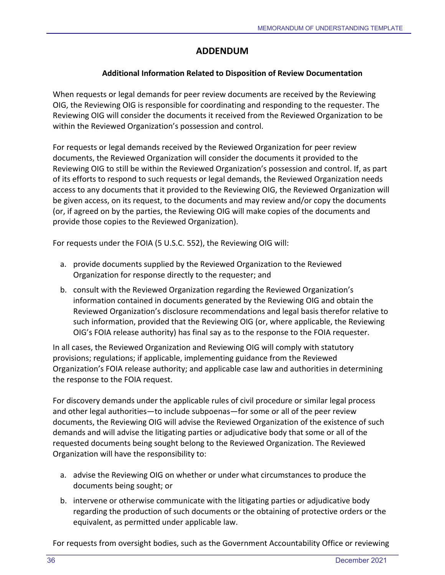## **ADDENDUM**

### **Additional Information Related to Disposition of Review Documentation**

When requests or legal demands for peer review documents are received by the Reviewing OIG, the Reviewing OIG is responsible for coordinating and responding to the requester. The Reviewing OIG will consider the documents it received from the Reviewed Organization to be within the Reviewed Organization's possession and control.

For requests or legal demands received by the Reviewed Organization for peer review documents, the Reviewed Organization will consider the documents it provided to the Reviewing OIG to still be within the Reviewed Organization's possession and control. If, as part of its efforts to respond to such requests or legal demands, the Reviewed Organization needs access to any documents that it provided to the Reviewing OIG, the Reviewed Organization will be given access, on its request, to the documents and may review and/or copy the documents (or, if agreed on by the parties, the Reviewing OIG will make copies of the documents and provide those copies to the Reviewed Organization).

For requests under the FOIA (5 U.S.C. 552), the Reviewing OIG will:

- a. provide documents supplied by the Reviewed Organization to the Reviewed Organization for response directly to the requester; and
- b. consult with the Reviewed Organization regarding the Reviewed Organization's information contained in documents generated by the Reviewing OIG and obtain the Reviewed Organization's disclosure recommendations and legal basis therefor relative to such information, provided that the Reviewing OIG (or, where applicable, the Reviewing OIG's FOIA release authority) has final say as to the response to the FOIA requester.

In all cases, the Reviewed Organization and Reviewing OIG will comply with statutory provisions; regulations; if applicable, implementing guidance from the Reviewed Organization's FOIA release authority; and applicable case law and authorities in determining the response to the FOIA request.

For discovery demands under the applicable rules of civil procedure or similar legal process and other legal authorities—to include subpoenas—for some or all of the peer review documents, the Reviewing OIG will advise the Reviewed Organization of the existence of such demands and will advise the litigating parties or adjudicative body that some or all of the requested documents being sought belong to the Reviewed Organization. The Reviewed Organization will have the responsibility to:

- a. advise the Reviewing OIG on whether or under what circumstances to produce the documents being sought; or
- b. intervene or otherwise communicate with the litigating parties or adjudicative body regarding the production of such documents or the obtaining of protective orders or the equivalent, as permitted under applicable law.

For requests from oversight bodies, such as the Government Accountability Office or reviewing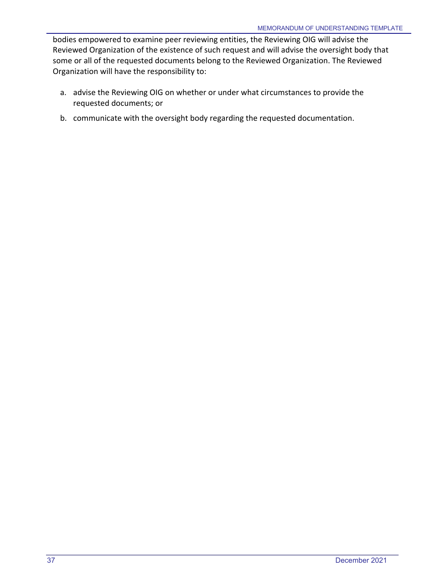bodies empowered to examine peer reviewing entities, the Reviewing OIG will advise the Reviewed Organization of the existence of such request and will advise the oversight body that some or all of the requested documents belong to the Reviewed Organization. The Reviewed Organization will have the responsibility to:

- a. advise the Reviewing OIG on whether or under what circumstances to provide the requested documents; or
- b. communicate with the oversight body regarding the requested documentation.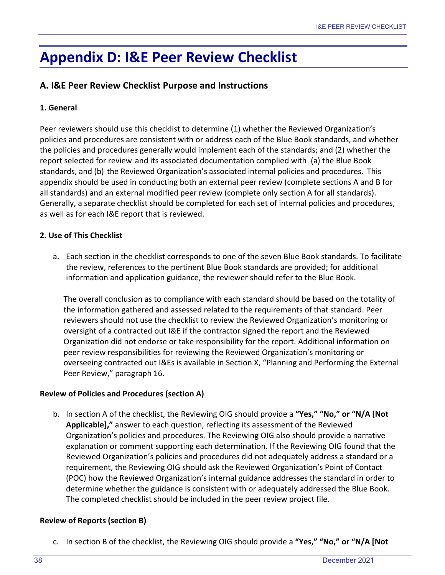# <span id="page-41-0"></span>**Appendix D: I&E Peer Review Checklist**

## **A. I&E Peer Review Checklist Purpose and Instructions**

### **1. General**

Peer reviewers should use this checklist to determine (1) whether the Reviewed Organization's policies and procedures are consistent with or address each of the Blue Book standards, and whether the policies and procedures generally would implement each of the standards; and (2) whether the report selected for review and its associated documentation complied with (a) the Blue Book standards, and (b) the Reviewed Organization's associated internal policies and procedures. This appendix should be used in conducting both an external peer review (complete sections A and B for all standards) and an external modified peer review (complete only section A for all standards). Generally, a separate checklist should be completed for each set of internal policies and procedures, as well as for each I&E report that is reviewed.

#### **2. Use of This Checklist**

a. Each section in the checklist corresponds to one of the seven Blue Book standards. To facilitate the review, references to the pertinent Blue Book standards are provided; for additional information and application guidance, the reviewer should refer to the Blue Book.

The overall conclusion as to compliance with each standard should be based on the totality of the information gathered and assessed related to the requirements of that standard. Peer reviewers should not use the checklist to review the Reviewed Organization's monitoring or oversight of a contracted out I&E if the contractor signed the report and the Reviewed Organization did not endorse or take responsibility for the report. Additional information on peer review responsibilities for reviewing the Reviewed Organization's monitoring or overseeing contracted out I&Es is available in Section X, "Planning and Performing the External Peer Review," paragraph 16.

#### **Review of Policies and Procedures (section A)**

b. In section A of the checklist, the Reviewing OIG should provide a **"Yes," "No," or "N/A [Not Applicable],"** answer to each question, reflecting its assessment of the Reviewed Organization's policies and procedures. The Reviewing OIG also should provide a narrative explanation or comment supporting each determination. If the Reviewing OIG found that the Reviewed Organization's policies and procedures did not adequately address a standard or a requirement, the Reviewing OIG should ask the Reviewed Organization's Point of Contact (POC) how the Reviewed Organization's internal guidance addresses the standard in order to determine whether the guidance is consistent with or adequately addressed the Blue Book. The completed checklist should be included in the peer review project file.

#### **Review of Reports (section B)**

c. In section B of the checklist, the Reviewing OIG should provide a **"Yes," "No," or "N/A [Not**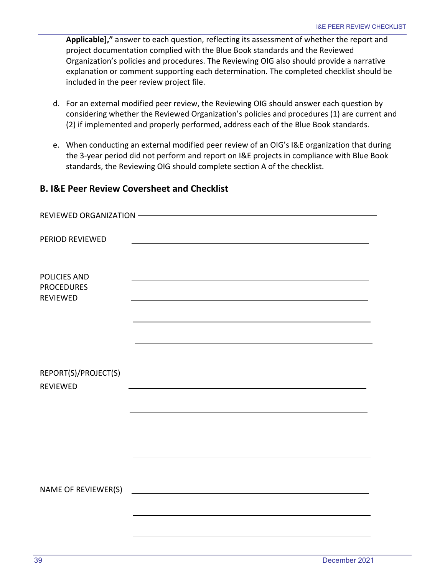**Applicable],"** answer to each question, reflecting its assessment of whether the report and project documentation complied with the Blue Book standards and the Reviewed Organization's policies and procedures. The Reviewing OIG also should provide a narrative explanation or comment supporting each determination. The completed checklist should be included in the peer review project file.

- d. For an external modified peer review, the Reviewing OIG should answer each question by considering whether the Reviewed Organization's policies and procedures (1) are current and (2) if implemented and properly performed, address each of the Blue Book standards.
- e. When conducting an external modified peer review of an OIG's I&E organization that during the 3-year period did not perform and report on I&E projects in compliance with Blue Book standards, the Reviewing OIG should complete section A of the checklist.

## **B. I&E Peer Review Coversheet and Checklist**

| PERIOD REVIEWED                          |  |
|------------------------------------------|--|
|                                          |  |
|                                          |  |
| <b>POLICIES AND</b><br><b>PROCEDURES</b> |  |
| <b>REVIEWED</b>                          |  |
|                                          |  |
|                                          |  |
|                                          |  |
|                                          |  |
|                                          |  |
| REPORT(S)/PROJECT(S)<br><b>REVIEWED</b>  |  |
|                                          |  |
|                                          |  |
|                                          |  |
|                                          |  |
|                                          |  |
|                                          |  |
|                                          |  |
| NAME OF REVIEWER(S)                      |  |
|                                          |  |
|                                          |  |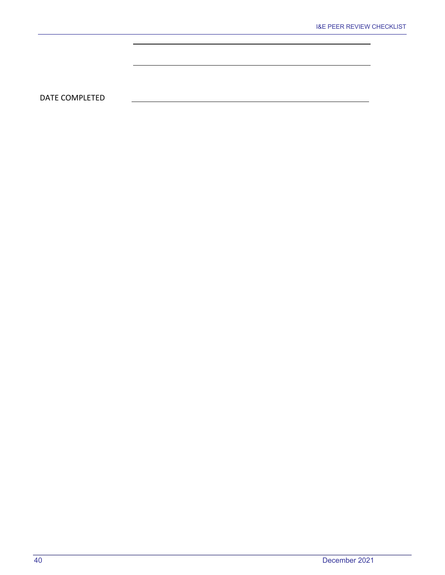DATE COMPLETED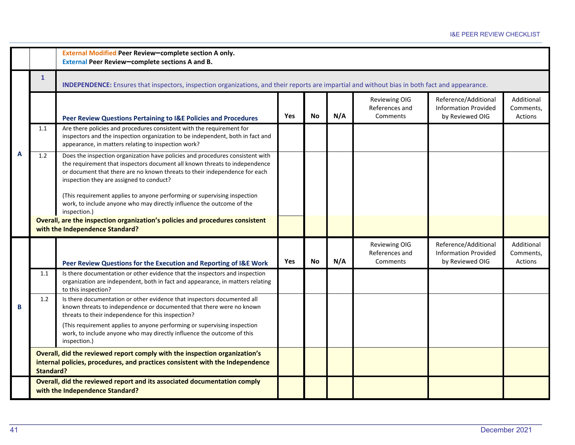|   |                  | External Modified Peer Review-complete section A only.<br>External Peer Review-complete sections A and B.                                                                                                                                                                             |     |           |     |                                             |                                                                        |                                    |  |  |  |  |  |
|---|------------------|---------------------------------------------------------------------------------------------------------------------------------------------------------------------------------------------------------------------------------------------------------------------------------------|-----|-----------|-----|---------------------------------------------|------------------------------------------------------------------------|------------------------------------|--|--|--|--|--|
|   | $\mathbf{1}$     | INDEPENDENCE: Ensures that inspectors, inspection organizations, and their reports are impartial and without bias in both fact and appearance.                                                                                                                                        |     |           |     |                                             |                                                                        |                                    |  |  |  |  |  |
|   |                  | Peer Review Questions Pertaining to I&E Policies and Procedures                                                                                                                                                                                                                       | Yes | <b>No</b> | N/A | Reviewing OIG<br>References and<br>Comments | Reference/Additional<br><b>Information Provided</b><br>by Reviewed OIG | Additional<br>Comments,<br>Actions |  |  |  |  |  |
|   | 1.1              | Are there policies and procedures consistent with the requirement for<br>inspectors and the inspection organization to be independent, both in fact and<br>appearance, in matters relating to inspection work?                                                                        |     |           |     |                                             |                                                                        |                                    |  |  |  |  |  |
| A | 1.2              | Does the inspection organization have policies and procedures consistent with<br>the requirement that inspectors document all known threats to independence<br>or document that there are no known threats to their independence for each<br>inspection they are assigned to conduct? |     |           |     |                                             |                                                                        |                                    |  |  |  |  |  |
|   |                  | (This requirement applies to anyone performing or supervising inspection<br>work, to include anyone who may directly influence the outcome of the<br>inspection.)                                                                                                                     |     |           |     |                                             |                                                                        |                                    |  |  |  |  |  |
|   |                  | Overall, are the inspection organization's policies and procedures consistent<br>with the Independence Standard?                                                                                                                                                                      |     |           |     |                                             |                                                                        |                                    |  |  |  |  |  |
|   |                  | Peer Review Questions for the Execution and Reporting of I&E Work                                                                                                                                                                                                                     | Yes | <b>No</b> | N/A | Reviewing OIG<br>References and<br>Comments | Reference/Additional<br><b>Information Provided</b><br>by Reviewed OIG | Additional<br>Comments,<br>Actions |  |  |  |  |  |
|   | 1.1              | Is there documentation or other evidence that the inspectors and inspection<br>organization are independent, both in fact and appearance, in matters relating<br>to this inspection?                                                                                                  |     |           |     |                                             |                                                                        |                                    |  |  |  |  |  |
| B | 1.2              | Is there documentation or other evidence that inspectors documented all<br>known threats to independence or documented that there were no known<br>threats to their independence for this inspection?                                                                                 |     |           |     |                                             |                                                                        |                                    |  |  |  |  |  |
|   |                  | (This requirement applies to anyone performing or supervising inspection<br>work, to include anyone who may directly influence the outcome of this<br>inspection.)                                                                                                                    |     |           |     |                                             |                                                                        |                                    |  |  |  |  |  |
|   | <b>Standard?</b> | Overall, did the reviewed report comply with the inspection organization's<br>internal policies, procedures, and practices consistent with the Independence                                                                                                                           |     |           |     |                                             |                                                                        |                                    |  |  |  |  |  |
|   |                  | Overall, did the reviewed report and its associated documentation comply<br>with the Independence Standard?                                                                                                                                                                           |     |           |     |                                             |                                                                        |                                    |  |  |  |  |  |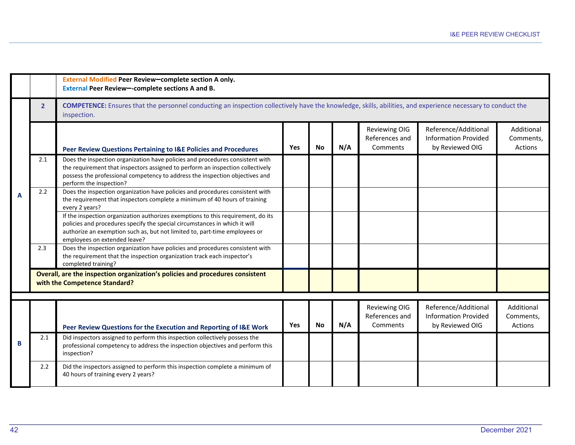|   |                | External Modified Peer Review-complete section A only.<br>External Peer Review--complete sections A and B.                                                                                                                                                                   |     |           |     |                                                    |                                                                        |                                    |
|---|----------------|------------------------------------------------------------------------------------------------------------------------------------------------------------------------------------------------------------------------------------------------------------------------------|-----|-----------|-----|----------------------------------------------------|------------------------------------------------------------------------|------------------------------------|
|   | 2 <sup>1</sup> | <b>COMPETENCE:</b> Ensures that the personnel conducting an inspection collectively have the knowledge, skills, abilities, and experience necessary to conduct the<br>inspection.                                                                                            |     |           |     |                                                    |                                                                        |                                    |
|   |                | Peer Review Questions Pertaining to I&E Policies and Procedures                                                                                                                                                                                                              | Yes | <b>No</b> | N/A | Reviewing OIG<br>References and<br>Comments        | Reference/Additional<br><b>Information Provided</b><br>by Reviewed OIG | Additional<br>Comments,<br>Actions |
|   | 2.1            | Does the inspection organization have policies and procedures consistent with<br>the requirement that inspectors assigned to perform an inspection collectively<br>possess the professional competency to address the inspection objectives and<br>perform the inspection?   |     |           |     |                                                    |                                                                        |                                    |
| А | 2.2            | Does the inspection organization have policies and procedures consistent with<br>the requirement that inspectors complete a minimum of 40 hours of training<br>every 2 years?                                                                                                |     |           |     |                                                    |                                                                        |                                    |
|   |                | If the inspection organization authorizes exemptions to this requirement, do its<br>policies and procedures specify the special circumstances in which it will<br>authorize an exemption such as, but not limited to, part-time employees or<br>employees on extended leave? |     |           |     |                                                    |                                                                        |                                    |
|   | 2.3            | Does the inspection organization have policies and procedures consistent with<br>the requirement that the inspection organization track each inspector's<br>completed training?                                                                                              |     |           |     |                                                    |                                                                        |                                    |
|   |                | Overall, are the inspection organization's policies and procedures consistent<br>with the Competence Standard?                                                                                                                                                               |     |           |     |                                                    |                                                                        |                                    |
|   |                |                                                                                                                                                                                                                                                                              |     |           |     |                                                    |                                                                        |                                    |
|   |                | Peer Review Questions for the Execution and Reporting of I&E Work                                                                                                                                                                                                            | Yes | <b>No</b> | N/A | <b>Reviewing OIG</b><br>References and<br>Comments | Reference/Additional<br><b>Information Provided</b><br>by Reviewed OIG | Additional<br>Comments.<br>Actions |
| B | 2.1            | Did inspectors assigned to perform this inspection collectively possess the<br>professional competency to address the inspection objectives and perform this<br>inspection?                                                                                                  |     |           |     |                                                    |                                                                        |                                    |
|   | 2.2            | Did the inspectors assigned to perform this inspection complete a minimum of<br>40 hours of training every 2 years?                                                                                                                                                          |     |           |     |                                                    |                                                                        |                                    |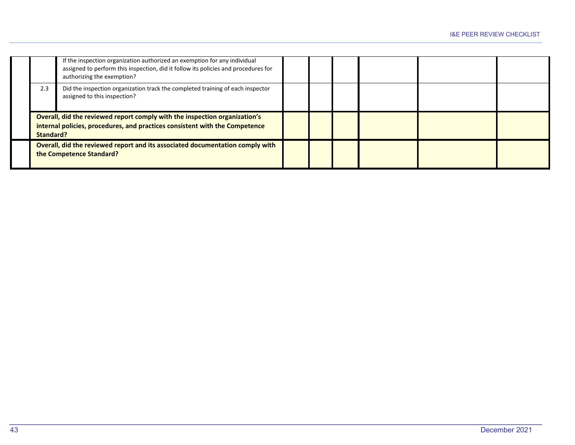|           | If the inspection organization authorized an exemption for any individual<br>assigned to perform this inspection, did it follow its policies and procedures for<br>authorizing the exemption? |  |  |  |
|-----------|-----------------------------------------------------------------------------------------------------------------------------------------------------------------------------------------------|--|--|--|
| 2.3       | Did the inspection organization track the completed training of each inspector<br>assigned to this inspection?                                                                                |  |  |  |
| Standard? | Overall, did the reviewed report comply with the inspection organization's<br>internal policies, procedures, and practices consistent with the Competence                                     |  |  |  |
|           | Overall, did the reviewed report and its associated documentation comply with<br>the Competence Standard?                                                                                     |  |  |  |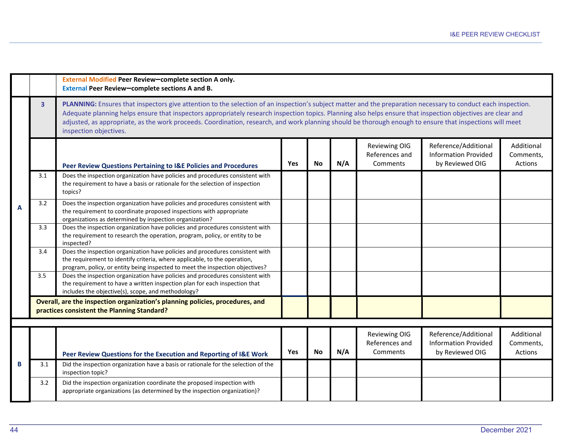|   |                | External Modified Peer Review-complete section A only.<br>External Peer Review-complete sections A and B.                                                                                                                                                                                                                                                                                                                                                                                                           |            |           |     |                                             |                                                                        |                                    |
|---|----------------|---------------------------------------------------------------------------------------------------------------------------------------------------------------------------------------------------------------------------------------------------------------------------------------------------------------------------------------------------------------------------------------------------------------------------------------------------------------------------------------------------------------------|------------|-----------|-----|---------------------------------------------|------------------------------------------------------------------------|------------------------------------|
|   | 3 <sup>1</sup> | PLANNING: Ensures that inspectors give attention to the selection of an inspection's subject matter and the preparation necessary to conduct each inspection.<br>Adequate planning helps ensure that inspectors appropriately research inspection topics. Planning also helps ensure that inspection objectives are clear and<br>adjusted, as appropriate, as the work proceeds. Coordination, research, and work planning should be thorough enough to ensure that inspections will meet<br>inspection objectives. |            |           |     |                                             |                                                                        |                                    |
|   |                | Peer Review Questions Pertaining to I&E Policies and Procedures                                                                                                                                                                                                                                                                                                                                                                                                                                                     | Yes        | <b>No</b> | N/A | Reviewing OIG<br>References and<br>Comments | Reference/Additional<br><b>Information Provided</b><br>by Reviewed OIG | Additional<br>Comments,<br>Actions |
|   | 3.1            | Does the inspection organization have policies and procedures consistent with<br>the requirement to have a basis or rationale for the selection of inspection<br>topics?                                                                                                                                                                                                                                                                                                                                            |            |           |     |                                             |                                                                        |                                    |
| A | 3.2            | Does the inspection organization have policies and procedures consistent with<br>the requirement to coordinate proposed inspections with appropriate<br>organizations as determined by inspection organization?                                                                                                                                                                                                                                                                                                     |            |           |     |                                             |                                                                        |                                    |
|   | 3.3            | Does the inspection organization have policies and procedures consistent with<br>the requirement to research the operation, program, policy, or entity to be<br>inspected?                                                                                                                                                                                                                                                                                                                                          |            |           |     |                                             |                                                                        |                                    |
|   | 3.4            | Does the inspection organization have policies and procedures consistent with<br>the requirement to identify criteria, where applicable, to the operation,<br>program, policy, or entity being inspected to meet the inspection objectives?                                                                                                                                                                                                                                                                         |            |           |     |                                             |                                                                        |                                    |
|   | 3.5            | Does the inspection organization have policies and procedures consistent with<br>the requirement to have a written inspection plan for each inspection that<br>includes the objective(s), scope, and methodology?                                                                                                                                                                                                                                                                                                   |            |           |     |                                             |                                                                        |                                    |
|   |                | Overall, are the inspection organization's planning policies, procedures, and<br>practices consistent the Planning Standard?                                                                                                                                                                                                                                                                                                                                                                                        |            |           |     |                                             |                                                                        |                                    |
|   |                |                                                                                                                                                                                                                                                                                                                                                                                                                                                                                                                     |            |           |     |                                             |                                                                        |                                    |
|   |                | Peer Review Questions for the Execution and Reporting of I&E Work                                                                                                                                                                                                                                                                                                                                                                                                                                                   | <b>Yes</b> | <b>No</b> | N/A | Reviewing OIG<br>References and<br>Comments | Reference/Additional<br><b>Information Provided</b><br>by Reviewed OIG | Additional<br>Comments,<br>Actions |
| B | 3.1            | Did the inspection organization have a basis or rationale for the selection of the<br>inspection topic?                                                                                                                                                                                                                                                                                                                                                                                                             |            |           |     |                                             |                                                                        |                                    |
|   | 3.2            | Did the inspection organization coordinate the proposed inspection with<br>appropriate organizations (as determined by the inspection organization)?                                                                                                                                                                                                                                                                                                                                                                |            |           |     |                                             |                                                                        |                                    |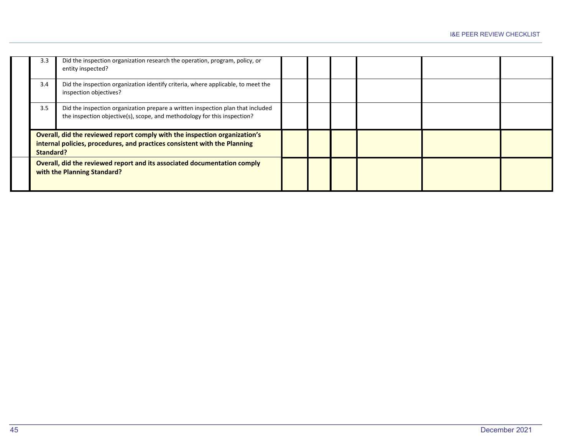| 3.3       | Did the inspection organization research the operation, program, policy, or<br>entity inspected?                                                            |  |  |  |
|-----------|-------------------------------------------------------------------------------------------------------------------------------------------------------------|--|--|--|
| 3.4       | Did the inspection organization identify criteria, where applicable, to meet the<br>inspection objectives?                                                  |  |  |  |
| 3.5       | Did the inspection organization prepare a written inspection plan that included<br>the inspection objective(s), scope, and methodology for this inspection? |  |  |  |
| Standard? | Overall, did the reviewed report comply with the inspection organization's<br>internal policies, procedures, and practices consistent with the Planning     |  |  |  |
|           | Overall, did the reviewed report and its associated documentation comply<br>with the Planning Standard?                                                     |  |  |  |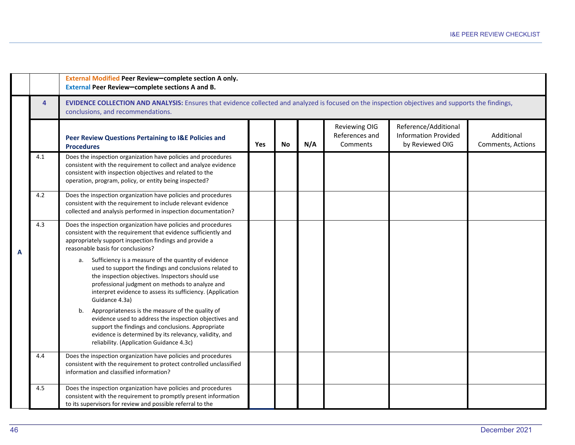|   |                | External Modified Peer Review-complete section A only.<br>External Peer Review-complete sections A and B.                                                                                                                                                                                                    |     |           |     |                                                    |                                                                        |                                 |  |  |  |  |  |
|---|----------------|--------------------------------------------------------------------------------------------------------------------------------------------------------------------------------------------------------------------------------------------------------------------------------------------------------------|-----|-----------|-----|----------------------------------------------------|------------------------------------------------------------------------|---------------------------------|--|--|--|--|--|
|   | $\overline{4}$ | EVIDENCE COLLECTION AND ANALYSIS: Ensures that evidence collected and analyzed is focused on the inspection objectives and supports the findings,<br>conclusions, and recommendations.                                                                                                                       |     |           |     |                                                    |                                                                        |                                 |  |  |  |  |  |
|   |                | Peer Review Questions Pertaining to I&E Policies and<br><b>Procedures</b>                                                                                                                                                                                                                                    | Yes | <b>No</b> | N/A | <b>Reviewing OIG</b><br>References and<br>Comments | Reference/Additional<br><b>Information Provided</b><br>by Reviewed OIG | Additional<br>Comments, Actions |  |  |  |  |  |
|   | 4.1            | Does the inspection organization have policies and procedures<br>consistent with the requirement to collect and analyze evidence<br>consistent with inspection objectives and related to the<br>operation, program, policy, or entity being inspected?                                                       |     |           |     |                                                    |                                                                        |                                 |  |  |  |  |  |
|   | 4.2            | Does the inspection organization have policies and procedures<br>consistent with the requirement to include relevant evidence<br>collected and analysis performed in inspection documentation?                                                                                                               |     |           |     |                                                    |                                                                        |                                 |  |  |  |  |  |
|   | 4.3            | Does the inspection organization have policies and procedures<br>consistent with the requirement that evidence sufficiently and<br>appropriately support inspection findings and provide a<br>reasonable basis for conclusions?                                                                              |     |           |     |                                                    |                                                                        |                                 |  |  |  |  |  |
| A |                | Sufficiency is a measure of the quantity of evidence<br>a.<br>used to support the findings and conclusions related to<br>the inspection objectives. Inspectors should use<br>professional judgment on methods to analyze and<br>interpret evidence to assess its sufficiency. (Application<br>Guidance 4.3a) |     |           |     |                                                    |                                                                        |                                 |  |  |  |  |  |
|   |                | Appropriateness is the measure of the quality of<br>b.<br>evidence used to address the inspection objectives and<br>support the findings and conclusions. Appropriate<br>evidence is determined by its relevancy, validity, and<br>reliability. (Application Guidance 4.3c)                                  |     |           |     |                                                    |                                                                        |                                 |  |  |  |  |  |
|   | 4.4            | Does the inspection organization have policies and procedures<br>consistent with the requirement to protect controlled unclassified<br>information and classified information?                                                                                                                               |     |           |     |                                                    |                                                                        |                                 |  |  |  |  |  |
|   | 4.5            | Does the inspection organization have policies and procedures<br>consistent with the requirement to promptly present information<br>to its supervisors for review and possible referral to the                                                                                                               |     |           |     |                                                    |                                                                        |                                 |  |  |  |  |  |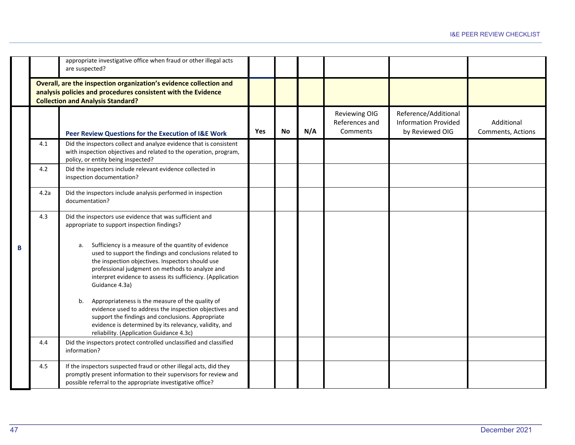|   |      | appropriate investigative office when fraud or other illegal acts<br>are suspected?                                                                                                                                                                                                                          |     |           |     |                                             |                                                                        |                                 |
|---|------|--------------------------------------------------------------------------------------------------------------------------------------------------------------------------------------------------------------------------------------------------------------------------------------------------------------|-----|-----------|-----|---------------------------------------------|------------------------------------------------------------------------|---------------------------------|
|   |      | Overall, are the inspection organization's evidence collection and<br>analysis policies and procedures consistent with the Evidence<br><b>Collection and Analysis Standard?</b>                                                                                                                              |     |           |     |                                             |                                                                        |                                 |
|   |      | Peer Review Questions for the Execution of I&E Work                                                                                                                                                                                                                                                          | Yes | <b>No</b> | N/A | Reviewing OIG<br>References and<br>Comments | Reference/Additional<br><b>Information Provided</b><br>by Reviewed OIG | Additional<br>Comments, Actions |
|   | 4.1  | Did the inspectors collect and analyze evidence that is consistent<br>with inspection objectives and related to the operation, program,<br>policy, or entity being inspected?                                                                                                                                |     |           |     |                                             |                                                                        |                                 |
|   | 4.2  | Did the inspectors include relevant evidence collected in<br>inspection documentation?                                                                                                                                                                                                                       |     |           |     |                                             |                                                                        |                                 |
|   | 4.2a | Did the inspectors include analysis performed in inspection<br>documentation?                                                                                                                                                                                                                                |     |           |     |                                             |                                                                        |                                 |
|   | 4.3  | Did the inspectors use evidence that was sufficient and<br>appropriate to support inspection findings?                                                                                                                                                                                                       |     |           |     |                                             |                                                                        |                                 |
| B |      | Sufficiency is a measure of the quantity of evidence<br>а.<br>used to support the findings and conclusions related to<br>the inspection objectives. Inspectors should use<br>professional judgment on methods to analyze and<br>interpret evidence to assess its sufficiency. (Application<br>Guidance 4.3a) |     |           |     |                                             |                                                                        |                                 |
|   |      | Appropriateness is the measure of the quality of<br>b.<br>evidence used to address the inspection objectives and<br>support the findings and conclusions. Appropriate<br>evidence is determined by its relevancy, validity, and<br>reliability. (Application Guidance 4.3c)                                  |     |           |     |                                             |                                                                        |                                 |
|   | 4.4  | Did the inspectors protect controlled unclassified and classified<br>information?                                                                                                                                                                                                                            |     |           |     |                                             |                                                                        |                                 |
|   | 4.5  | If the inspectors suspected fraud or other illegal acts, did they<br>promptly present information to their supervisors for review and<br>possible referral to the appropriate investigative office?                                                                                                          |     |           |     |                                             |                                                                        |                                 |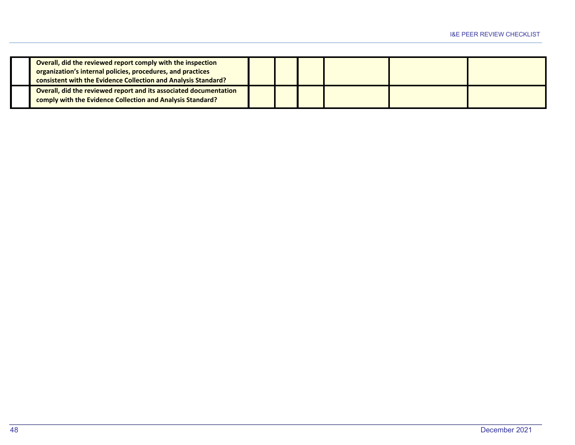| Overall, did the reviewed report comply with the inspection<br>organization's internal policies, procedures, and practices<br>consistent with the Evidence Collection and Analysis Standard? |  |  |  |
|----------------------------------------------------------------------------------------------------------------------------------------------------------------------------------------------|--|--|--|
| Overall, did the reviewed report and its associated documentation<br>comply with the Evidence Collection and Analysis Standard?                                                              |  |  |  |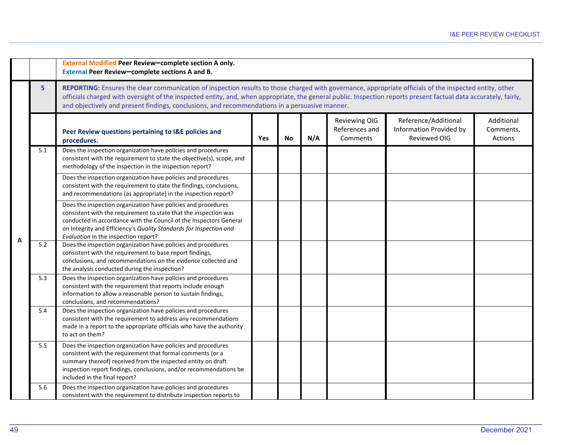|   |     | External Modified Peer Review-complete section A only.<br>External Peer Review-complete sections A and B.                                                                                                                                                                                                                                                                                                                     |     |           |     |                                                    |                                                                        |                                    |  |  |  |  |
|---|-----|-------------------------------------------------------------------------------------------------------------------------------------------------------------------------------------------------------------------------------------------------------------------------------------------------------------------------------------------------------------------------------------------------------------------------------|-----|-----------|-----|----------------------------------------------------|------------------------------------------------------------------------|------------------------------------|--|--|--|--|
|   | 5   | REPORTING: Ensures the clear communication of inspection results to those charged with governance, appropriate officials of the inspected entity, other<br>officials charged with oversight of the inspected entity, and, when appropriate, the general public. Inspection reports present factual data accurately, fairly,<br>and objectively and present findings, conclusions, and recommendations in a persuasive manner. |     |           |     |                                                    |                                                                        |                                    |  |  |  |  |
|   |     | Peer Review questions pertaining to I&E policies and<br>procedures.                                                                                                                                                                                                                                                                                                                                                           | Yes | <b>No</b> | N/A | <b>Reviewing OIG</b><br>References and<br>Comments | Reference/Additional<br>Information Provided by<br><b>Reviewed OIG</b> | Additional<br>Comments,<br>Actions |  |  |  |  |
|   | 5.1 | Does the inspection organization have policies and procedures<br>consistent with the requirement to state the objective(s), scope, and<br>methodology of the inspection in the inspection report?                                                                                                                                                                                                                             |     |           |     |                                                    |                                                                        |                                    |  |  |  |  |
| A |     | Does the inspection organization have policies and procedures<br>consistent with the requirement to state the findings, conclusions,<br>and recommendations (as appropriate) in the inspection report?                                                                                                                                                                                                                        |     |           |     |                                                    |                                                                        |                                    |  |  |  |  |
|   |     | Does the inspection organization have policies and procedures<br>consistent with the requirement to state that the inspection was<br>conducted in accordance with the Council of the Inspectors General<br>on Integrity and Efficiency's Quality Standards for Inspection and<br>Evaluation in the inspection report?                                                                                                         |     |           |     |                                                    |                                                                        |                                    |  |  |  |  |
|   | 5.2 | Does the inspection organization have policies and procedures<br>consistent with the requirement to base report findings,<br>conclusions, and recommendations on the evidence collected and<br>the analysis conducted during the inspection?                                                                                                                                                                                  |     |           |     |                                                    |                                                                        |                                    |  |  |  |  |
|   | 5.3 | Does the inspection organization have policies and procedures<br>consistent with the requirement that reports include enough<br>information to allow a reasonable person to sustain findings,<br>conclusions, and recommendations?                                                                                                                                                                                            |     |           |     |                                                    |                                                                        |                                    |  |  |  |  |
|   | 5.4 | Does the inspection organization have policies and procedures<br>consistent with the requirement to address any recommendations<br>made in a report to the appropriate officials who have the authority<br>to act on them?                                                                                                                                                                                                    |     |           |     |                                                    |                                                                        |                                    |  |  |  |  |
|   | 5.5 | Does the inspection organization have policies and procedures<br>consistent with the requirement that formal comments (or a<br>summary thereof) received from the inspected entity on draft<br>inspection report findings, conclusions, and/or recommendations be<br>included in the final report?                                                                                                                            |     |           |     |                                                    |                                                                        |                                    |  |  |  |  |
|   | 5.6 | Does the inspection organization have policies and procedures<br>consistent with the requirement to distribute inspection reports to                                                                                                                                                                                                                                                                                          |     |           |     |                                                    |                                                                        |                                    |  |  |  |  |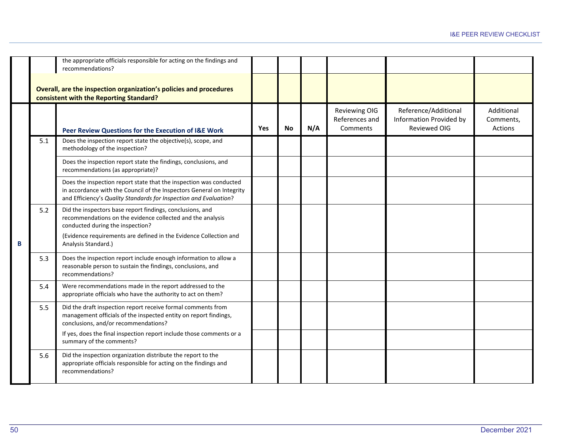|   |     | the appropriate officials responsible for acting on the findings and<br>recommendations?                                                                                                                                                                |     |           |     |                                             |                                                                        |                                    |
|---|-----|---------------------------------------------------------------------------------------------------------------------------------------------------------------------------------------------------------------------------------------------------------|-----|-----------|-----|---------------------------------------------|------------------------------------------------------------------------|------------------------------------|
|   |     | Overall, are the inspection organization's policies and procedures<br>consistent with the Reporting Standard?                                                                                                                                           |     |           |     |                                             |                                                                        |                                    |
|   |     | Peer Review Questions for the Execution of I&E Work                                                                                                                                                                                                     | Yes | <b>No</b> | N/A | Reviewing OIG<br>References and<br>Comments | Reference/Additional<br><b>Information Provided by</b><br>Reviewed OIG | Additional<br>Comments,<br>Actions |
|   | 5.1 | Does the inspection report state the objective(s), scope, and<br>methodology of the inspection?                                                                                                                                                         |     |           |     |                                             |                                                                        |                                    |
|   |     | Does the inspection report state the findings, conclusions, and<br>recommendations (as appropriate)?                                                                                                                                                    |     |           |     |                                             |                                                                        |                                    |
| B |     | Does the inspection report state that the inspection was conducted<br>in accordance with the Council of the Inspectors General on Integrity<br>and Efficiency's Quality Standards for Inspection and Evaluation?                                        |     |           |     |                                             |                                                                        |                                    |
|   | 5.2 | Did the inspectors base report findings, conclusions, and<br>recommendations on the evidence collected and the analysis<br>conducted during the inspection?<br>(Evidence requirements are defined in the Evidence Collection and<br>Analysis Standard.) |     |           |     |                                             |                                                                        |                                    |
|   | 5.3 | Does the inspection report include enough information to allow a<br>reasonable person to sustain the findings, conclusions, and<br>recommendations?                                                                                                     |     |           |     |                                             |                                                                        |                                    |
|   | 5.4 | Were recommendations made in the report addressed to the<br>appropriate officials who have the authority to act on them?                                                                                                                                |     |           |     |                                             |                                                                        |                                    |
|   | 5.5 | Did the draft inspection report receive formal comments from<br>management officials of the inspected entity on report findings,<br>conclusions, and/or recommendations?                                                                                |     |           |     |                                             |                                                                        |                                    |
|   |     | If yes, does the final inspection report include those comments or a<br>summary of the comments?                                                                                                                                                        |     |           |     |                                             |                                                                        |                                    |
|   | 5.6 | Did the inspection organization distribute the report to the<br>appropriate officials responsible for acting on the findings and<br>recommendations?                                                                                                    |     |           |     |                                             |                                                                        |                                    |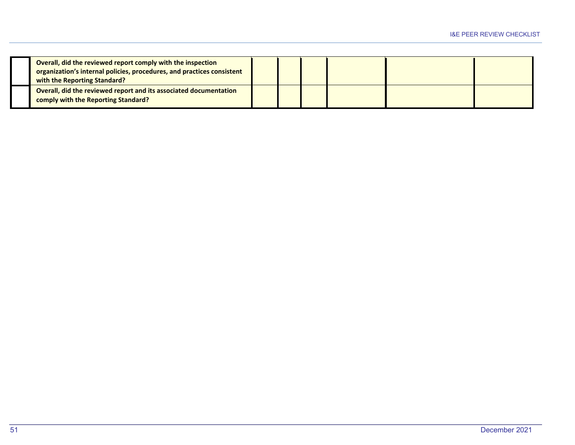| Overall, did the reviewed report comply with the inspection<br>organization's internal policies, procedures, and practices consistent<br>with the Reporting Standard? |  |  |  |
|-----------------------------------------------------------------------------------------------------------------------------------------------------------------------|--|--|--|
| Overall, did the reviewed report and its associated documentation<br>comply with the Reporting Standard?                                                              |  |  |  |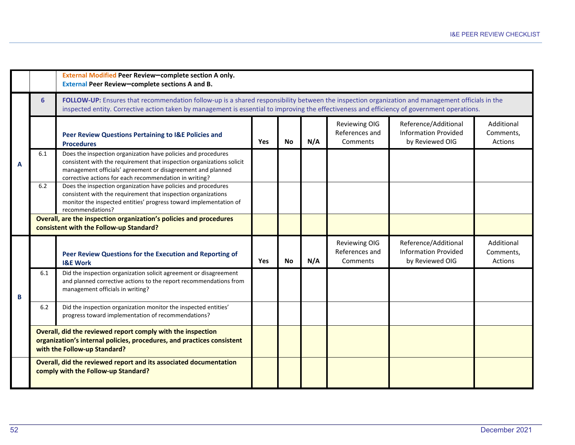|   |            | External Modified Peer Review-complete section A only.<br>External Peer Review-complete sections A and B.                                                                                                                                                                                                                        |     |           |     |                                                    |                                                                        |                                    |  |  |  |
|---|------------|----------------------------------------------------------------------------------------------------------------------------------------------------------------------------------------------------------------------------------------------------------------------------------------------------------------------------------|-----|-----------|-----|----------------------------------------------------|------------------------------------------------------------------------|------------------------------------|--|--|--|
|   | 6          | FOLLOW-UP: Ensures that recommendation follow-up is a shared responsibility between the inspection organization and management officials in the<br>inspected entity. Corrective action taken by management is essential to improving the effectiveness and efficiency of government operations.                                  |     |           |     |                                                    |                                                                        |                                    |  |  |  |
|   |            | Peer Review Questions Pertaining to I&E Policies and<br><b>Procedures</b>                                                                                                                                                                                                                                                        | Yes | <b>No</b> | N/A | <b>Reviewing OIG</b><br>References and<br>Comments | Reference/Additional<br><b>Information Provided</b><br>by Reviewed OIG | Additional<br>Comments.<br>Actions |  |  |  |
| A | 6.1<br>6.2 | Does the inspection organization have policies and procedures<br>consistent with the requirement that inspection organizations solicit<br>management officials' agreement or disagreement and planned<br>corrective actions for each recommendation in writing?<br>Does the inspection organization have policies and procedures |     |           |     |                                                    |                                                                        |                                    |  |  |  |
|   |            | consistent with the requirement that inspection organizations<br>monitor the inspected entities' progress toward implementation of<br>recommendations?                                                                                                                                                                           |     |           |     |                                                    |                                                                        |                                    |  |  |  |
|   |            | Overall, are the inspection organization's policies and procedures<br>consistent with the Follow-up Standard?                                                                                                                                                                                                                    |     |           |     |                                                    |                                                                        |                                    |  |  |  |
|   |            | Peer Review Questions for the Execution and Reporting of<br><b>I&amp;E Work</b>                                                                                                                                                                                                                                                  | Yes | <b>No</b> | N/A | <b>Reviewing OIG</b><br>References and<br>Comments | Reference/Additional<br><b>Information Provided</b><br>by Reviewed OIG | Additional<br>Comments,<br>Actions |  |  |  |
| В | 6.1        | Did the inspection organization solicit agreement or disagreement<br>and planned corrective actions to the report recommendations from<br>management officials in writing?                                                                                                                                                       |     |           |     |                                                    |                                                                        |                                    |  |  |  |
|   | 6.2        | Did the inspection organization monitor the inspected entities'<br>progress toward implementation of recommendations?                                                                                                                                                                                                            |     |           |     |                                                    |                                                                        |                                    |  |  |  |
|   |            | Overall, did the reviewed report comply with the inspection<br>organization's internal policies, procedures, and practices consistent<br>with the Follow-up Standard?                                                                                                                                                            |     |           |     |                                                    |                                                                        |                                    |  |  |  |
|   |            | Overall, did the reviewed report and its associated documentation<br>comply with the Follow-up Standard?                                                                                                                                                                                                                         |     |           |     |                                                    |                                                                        |                                    |  |  |  |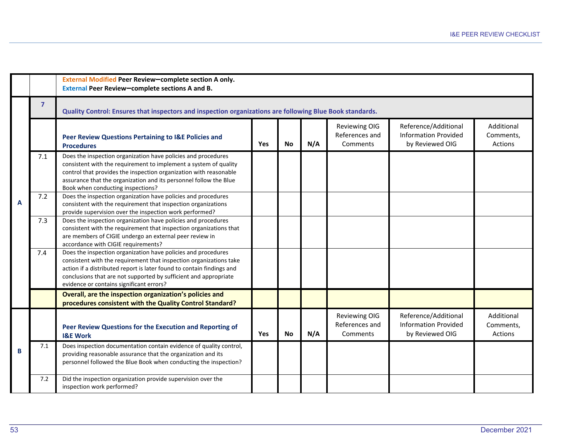|   |                | External Modified Peer Review-complete section A only.<br>External Peer Review-complete sections A and B.                                                                                                                                                                                                                    |            |           |     |                                                    |                                                                        |                                    |  |  |  |
|---|----------------|------------------------------------------------------------------------------------------------------------------------------------------------------------------------------------------------------------------------------------------------------------------------------------------------------------------------------|------------|-----------|-----|----------------------------------------------------|------------------------------------------------------------------------|------------------------------------|--|--|--|
|   | $\overline{7}$ | Quality Control: Ensures that inspectors and inspection organizations are following Blue Book standards.                                                                                                                                                                                                                     |            |           |     |                                                    |                                                                        |                                    |  |  |  |
|   |                | Peer Review Questions Pertaining to I&E Policies and<br><b>Procedures</b>                                                                                                                                                                                                                                                    | <b>Yes</b> | No        | N/A | <b>Reviewing OIG</b><br>References and<br>Comments | Reference/Additional<br><b>Information Provided</b><br>by Reviewed OIG | Additional<br>Comments,<br>Actions |  |  |  |
|   | 7.1            | Does the inspection organization have policies and procedures<br>consistent with the requirement to implement a system of quality<br>control that provides the inspection organization with reasonable<br>assurance that the organization and its personnel follow the Blue<br>Book when conducting inspections?             |            |           |     |                                                    |                                                                        |                                    |  |  |  |
| A | 7.2            | Does the inspection organization have policies and procedures<br>consistent with the requirement that inspection organizations<br>provide supervision over the inspection work performed?                                                                                                                                    |            |           |     |                                                    |                                                                        |                                    |  |  |  |
|   | 7.3            | Does the inspection organization have policies and procedures<br>consistent with the requirement that inspection organizations that<br>are members of CIGIE undergo an external peer review in<br>accordance with CIGIE requirements?                                                                                        |            |           |     |                                                    |                                                                        |                                    |  |  |  |
|   | 7.4            | Does the inspection organization have policies and procedures<br>consistent with the requirement that inspection organizations take<br>action if a distributed report is later found to contain findings and<br>conclusions that are not supported by sufficient and appropriate<br>evidence or contains significant errors? |            |           |     |                                                    |                                                                        |                                    |  |  |  |
|   |                | Overall, are the inspection organization's policies and<br>procedures consistent with the Quality Control Standard?                                                                                                                                                                                                          |            |           |     |                                                    |                                                                        |                                    |  |  |  |
|   |                | Peer Review Questions for the Execution and Reporting of<br><b>I&amp;E Work</b>                                                                                                                                                                                                                                              | <b>Yes</b> | <b>No</b> | N/A | <b>Reviewing OIG</b><br>References and<br>Comments | Reference/Additional<br><b>Information Provided</b><br>by Reviewed OIG | Additional<br>Comments,<br>Actions |  |  |  |
| B | 7.1            | Does inspection documentation contain evidence of quality control,<br>providing reasonable assurance that the organization and its<br>personnel followed the Blue Book when conducting the inspection?                                                                                                                       |            |           |     |                                                    |                                                                        |                                    |  |  |  |
|   | 7.2            | Did the inspection organization provide supervision over the<br>inspection work performed?                                                                                                                                                                                                                                   |            |           |     |                                                    |                                                                        |                                    |  |  |  |